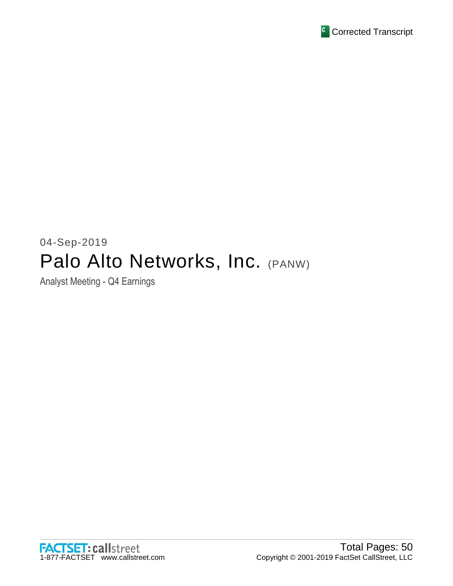

# 04-Sep-2019 Palo Alto Networks, Inc. (PANW)

Analyst Meeting - Q4 Earnings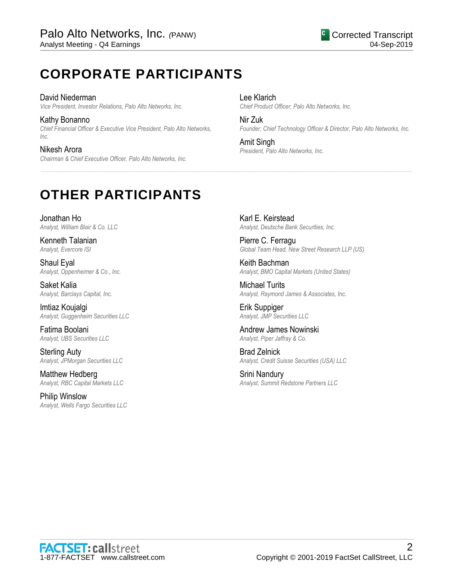# **CORPORATE PARTICIPANTS**

David Niederman *Vice President, Investor Relations, Palo Alto Networks, Inc.*

Kathy Bonanno *Chief Financial Officer & Executive Vice President, Palo Alto Networks, Inc.*

Nikesh Arora *Chairman & Chief Executive Officer, Palo Alto Networks, Inc.* Lee Klarich *Chief Product Officer, Palo Alto Networks, Inc.*

Nir Zuk *Founder, Chief Technology Officer & Director, Palo Alto Networks, Inc.*

Amit Singh *President, Palo Alto Networks, Inc.*

......................................................................................................................................................................................................................................................

# **OTHER PARTICIPANTS**

Jonathan Ho *Analyst, William Blair & Co. LLC*

Kenneth Talanian *Analyst, Evercore ISI*

Shaul Eyal *Analyst, Oppenheimer & Co., Inc.*

Saket Kalia *Analyst, Barclays Capital, Inc.*

Imtiaz Koujalgi *Analyst, Guggenheim Securities LLC*

Fatima Boolani *Analyst, UBS Securities LLC*

Sterling Auty *Analyst, JPMorgan Securities LLC*

Matthew Hedberg *Analyst, RBC Capital Markets LLC*

Philip Winslow *Analyst, Wells Fargo Securities LLC* Karl E. Keirstead *Analyst, Deutsche Bank Securities, Inc.*

Pierre C. Ferragu *Global Team Head, New Street Research LLP (US)*

Keith Bachman *Analyst, BMO Capital Markets (United States)*

Michael Turits *Analyst, Raymond James & Associates, Inc.*

Erik Suppiger *Analyst, JMP Securities LLC*

Andrew James Nowinski *Analyst, Piper Jaffray & Co.*

Brad Zelnick *Analyst, Credit Suisse Securities (USA) LLC*

Srini Nandury *Analyst, Summit Redstone Partners LLC*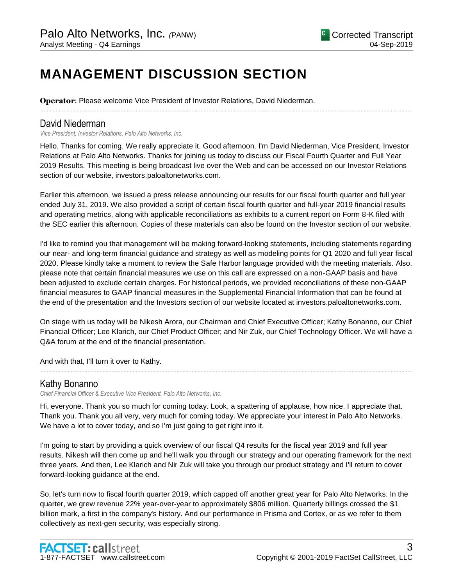# **MANAGEMENT DISCUSSION SECTION**

**Operator**: Please welcome Vice President of Investor Relations, David Niederman.

# David Niederman

*Vice President, Investor Relations, Palo Alto Networks, Inc.*

Hello. Thanks for coming. We really appreciate it. Good afternoon. I'm David Niederman, Vice President, Investor Relations at Palo Alto Networks. Thanks for joining us today to discuss our Fiscal Fourth Quarter and Full Year 2019 Results. This meeting is being broadcast live over the Web and can be accessed on our Investor Relations section of our website, investors.paloaltonetworks.com.

......................................................................................................................................................................................................................................................

Earlier this afternoon, we issued a press release announcing our results for our fiscal fourth quarter and full year ended July 31, 2019. We also provided a script of certain fiscal fourth quarter and full-year 2019 financial results and operating metrics, along with applicable reconciliations as exhibits to a current report on Form 8-K filed with the SEC earlier this afternoon. Copies of these materials can also be found on the Investor section of our website.

I'd like to remind you that management will be making forward-looking statements, including statements regarding our near- and long-term financial guidance and strategy as well as modeling points for Q1 2020 and full year fiscal 2020. Please kindly take a moment to review the Safe Harbor language provided with the meeting materials. Also, please note that certain financial measures we use on this call are expressed on a non-GAAP basis and have been adjusted to exclude certain charges. For historical periods, we provided reconciliations of these non-GAAP financial measures to GAAP financial measures in the Supplemental Financial Information that can be found at the end of the presentation and the Investors section of our website located at investors.paloaltonetworks.com.

On stage with us today will be Nikesh Arora, our Chairman and Chief Executive Officer; Kathy Bonanno, our Chief Financial Officer; Lee Klarich, our Chief Product Officer; and Nir Zuk, our Chief Technology Officer. We will have a Q&A forum at the end of the financial presentation.

......................................................................................................................................................................................................................................................

And with that, I'll turn it over to Kathy.

# Kathy Bonanno

*Chief Financial Officer & Executive Vice President, Palo Alto Networks, Inc.*

Hi, everyone. Thank you so much for coming today. Look, a spattering of applause, how nice. I appreciate that. Thank you. Thank you all very, very much for coming today. We appreciate your interest in Palo Alto Networks. We have a lot to cover today, and so I'm just going to get right into it.

I'm going to start by providing a quick overview of our fiscal Q4 results for the fiscal year 2019 and full year results. Nikesh will then come up and he'll walk you through our strategy and our operating framework for the next three years. And then, Lee Klarich and Nir Zuk will take you through our product strategy and I'll return to cover forward-looking guidance at the end.

So, let's turn now to fiscal fourth quarter 2019, which capped off another great year for Palo Alto Networks. In the quarter, we grew revenue 22% year-over-year to approximately \$806 million. Quarterly billings crossed the \$1 billion mark, a first in the company's history. And our performance in Prisma and Cortex, or as we refer to them collectively as next-gen security, was especially strong.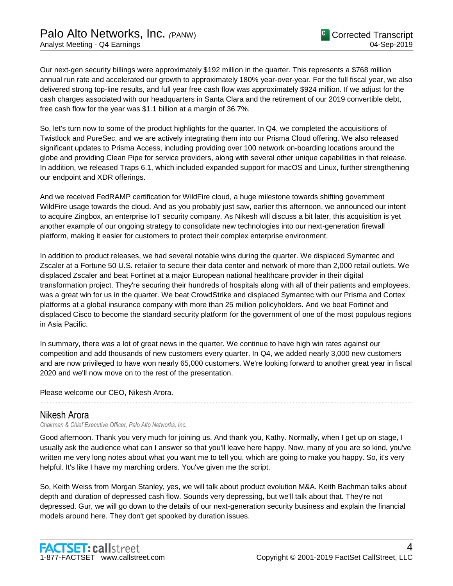Our next-gen security billings were approximately \$192 million in the quarter. This represents a \$768 million annual run rate and accelerated our growth to approximately 180% year-over-year. For the full fiscal year, we also delivered strong top-line results, and full year free cash flow was approximately \$924 million. If we adjust for the cash charges associated with our headquarters in Santa Clara and the retirement of our 2019 convertible debt, free cash flow for the year was \$1.1 billion at a margin of 36.7%.

So, let's turn now to some of the product highlights for the quarter. In Q4, we completed the acquisitions of Twistlock and PureSec, and we are actively integrating them into our Prisma Cloud offering. We also released significant updates to Prisma Access, including providing over 100 network on-boarding locations around the globe and providing Clean Pipe for service providers, along with several other unique capabilities in that release. In addition, we released Traps 6.1, which included expanded support for macOS and Linux, further strengthening our endpoint and XDR offerings.

And we received FedRAMP certification for WildFire cloud, a huge milestone towards shifting government WildFire usage towards the cloud. And as you probably just saw, earlier this afternoon, we announced our intent to acquire Zingbox, an enterprise IoT security company. As Nikesh will discuss a bit later, this acquisition is yet another example of our ongoing strategy to consolidate new technologies into our next-generation firewall platform, making it easier for customers to protect their complex enterprise environment.

In addition to product releases, we had several notable wins during the quarter. We displaced Symantec and Zscaler at a Fortune 50 U.S. retailer to secure their data center and network of more than 2,000 retail outlets. We displaced Zscaler and beat Fortinet at a major European national healthcare provider in their digital transformation project. They're securing their hundreds of hospitals along with all of their patients and employees, was a great win for us in the quarter. We beat CrowdStrike and displaced Symantec with our Prisma and Cortex platforms at a global insurance company with more than 25 million policyholders. And we beat Fortinet and displaced Cisco to become the standard security platform for the government of one of the most populous regions in Asia Pacific.

In summary, there was a lot of great news in the quarter. We continue to have high win rates against our competition and add thousands of new customers every quarter. In Q4, we added nearly 3,000 new customers and are now privileged to have won nearly 65,000 customers. We're looking forward to another great year in fiscal 2020 and we'll now move on to the rest of the presentation.

......................................................................................................................................................................................................................................................

Please welcome our CEO, Nikesh Arora.

### Nikesh Arora

*Chairman & Chief Executive Officer, Palo Alto Networks, Inc.*

Good afternoon. Thank you very much for joining us. And thank you, Kathy. Normally, when I get up on stage, I usually ask the audience what can I answer so that you'll leave here happy. Now, many of you are so kind, you've written me very long notes about what you want me to tell you, which are going to make you happy. So, it's very helpful. It's like I have my marching orders. You've given me the script.

So, Keith Weiss from Morgan Stanley, yes, we will talk about product evolution M&A. Keith Bachman talks about depth and duration of depressed cash flow. Sounds very depressing, but we'll talk about that. They're not depressed. Gur, we will go down to the details of our next-generation security business and explain the financial models around here. They don't get spooked by duration issues.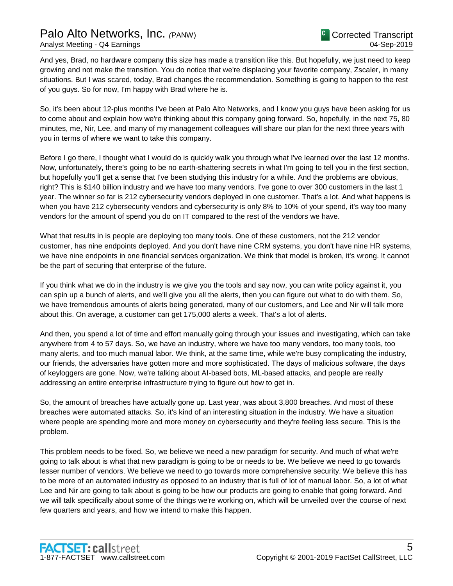And yes, Brad, no hardware company this size has made a transition like this. But hopefully, we just need to keep growing and not make the transition. You do notice that we're displacing your favorite company, Zscaler, in many situations. But I was scared, today, Brad changes the recommendation. Something is going to happen to the rest of you guys. So for now, I'm happy with Brad where he is.

So, it's been about 12-plus months I've been at Palo Alto Networks, and I know you guys have been asking for us to come about and explain how we're thinking about this company going forward. So, hopefully, in the next 75, 80 minutes, me, Nir, Lee, and many of my management colleagues will share our plan for the next three years with you in terms of where we want to take this company.

Before I go there, I thought what I would do is quickly walk you through what I've learned over the last 12 months. Now, unfortunately, there's going to be no earth-shattering secrets in what I'm going to tell you in the first section, but hopefully you'll get a sense that I've been studying this industry for a while. And the problems are obvious, right? This is \$140 billion industry and we have too many vendors. I've gone to over 300 customers in the last 1 year. The winner so far is 212 cybersecurity vendors deployed in one customer. That's a lot. And what happens is when you have 212 cybersecurity vendors and cybersecurity is only 8% to 10% of your spend, it's way too many vendors for the amount of spend you do on IT compared to the rest of the vendors we have.

What that results in is people are deploying too many tools. One of these customers, not the 212 vendor customer, has nine endpoints deployed. And you don't have nine CRM systems, you don't have nine HR systems, we have nine endpoints in one financial services organization. We think that model is broken, it's wrong. It cannot be the part of securing that enterprise of the future.

If you think what we do in the industry is we give you the tools and say now, you can write policy against it, you can spin up a bunch of alerts, and we'll give you all the alerts, then you can figure out what to do with them. So, we have tremendous amounts of alerts being generated, many of our customers, and Lee and Nir will talk more about this. On average, a customer can get 175,000 alerts a week. That's a lot of alerts.

And then, you spend a lot of time and effort manually going through your issues and investigating, which can take anywhere from 4 to 57 days. So, we have an industry, where we have too many vendors, too many tools, too many alerts, and too much manual labor. We think, at the same time, while we're busy complicating the industry, our friends, the adversaries have gotten more and more sophisticated. The days of malicious software, the days of keyloggers are gone. Now, we're talking about AI-based bots, ML-based attacks, and people are really addressing an entire enterprise infrastructure trying to figure out how to get in.

So, the amount of breaches have actually gone up. Last year, was about 3,800 breaches. And most of these breaches were automated attacks. So, it's kind of an interesting situation in the industry. We have a situation where people are spending more and more money on cybersecurity and they're feeling less secure. This is the problem.

This problem needs to be fixed. So, we believe we need a new paradigm for security. And much of what we're going to talk about is what that new paradigm is going to be or needs to be. We believe we need to go towards lesser number of vendors. We believe we need to go towards more comprehensive security. We believe this has to be more of an automated industry as opposed to an industry that is full of lot of manual labor. So, a lot of what Lee and Nir are going to talk about is going to be how our products are going to enable that going forward. And we will talk specifically about some of the things we're working on, which will be unveiled over the course of next few quarters and years, and how we intend to make this happen.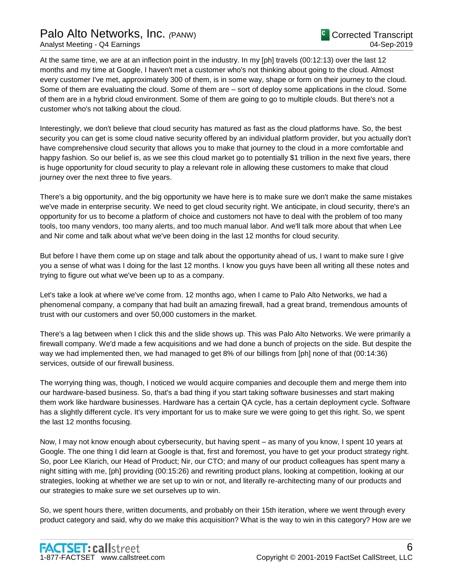# Palo Alto Networks, Inc. *(*PANW)

At the same time, we are at an inflection point in the industry. In my [ph] travels (00:12:13) over the last 12 months and my time at Google, I haven't met a customer who's not thinking about going to the cloud. Almost every customer I've met, approximately 300 of them, is in some way, shape or form on their journey to the cloud. Some of them are evaluating the cloud. Some of them are – sort of deploy some applications in the cloud. Some of them are in a hybrid cloud environment. Some of them are going to go to multiple clouds. But there's not a customer who's not talking about the cloud.

Interestingly, we don't believe that cloud security has matured as fast as the cloud platforms have. So, the best security you can get is some cloud native security offered by an individual platform provider, but you actually don't have comprehensive cloud security that allows you to make that journey to the cloud in a more comfortable and happy fashion. So our belief is, as we see this cloud market go to potentially \$1 trillion in the next five years, there is huge opportunity for cloud security to play a relevant role in allowing these customers to make that cloud journey over the next three to five years.

There's a big opportunity, and the big opportunity we have here is to make sure we don't make the same mistakes we've made in enterprise security. We need to get cloud security right. We anticipate, in cloud security, there's an opportunity for us to become a platform of choice and customers not have to deal with the problem of too many tools, too many vendors, too many alerts, and too much manual labor. And we'll talk more about that when Lee and Nir come and talk about what we've been doing in the last 12 months for cloud security.

But before I have them come up on stage and talk about the opportunity ahead of us, I want to make sure I give you a sense of what was I doing for the last 12 months. I know you guys have been all writing all these notes and trying to figure out what we've been up to as a company.

Let's take a look at where we've come from. 12 months ago, when I came to Palo Alto Networks, we had a phenomenal company, a company that had built an amazing firewall, had a great brand, tremendous amounts of trust with our customers and over 50,000 customers in the market.

There's a lag between when I click this and the slide shows up. This was Palo Alto Networks. We were primarily a firewall company. We'd made a few acquisitions and we had done a bunch of projects on the side. But despite the way we had implemented then, we had managed to get 8% of our billings from [ph] none of that (00:14:36) services, outside of our firewall business.

The worrying thing was, though, I noticed we would acquire companies and decouple them and merge them into our hardware-based business. So, that's a bad thing if you start taking software businesses and start making them work like hardware businesses. Hardware has a certain QA cycle, has a certain deployment cycle. Software has a slightly different cycle. It's very important for us to make sure we were going to get this right. So, we spent the last 12 months focusing.

Now, I may not know enough about cybersecurity, but having spent – as many of you know, I spent 10 years at Google. The one thing I did learn at Google is that, first and foremost, you have to get your product strategy right. So, poor Lee Klarich, our Head of Product; Nir, our CTO; and many of our product colleagues has spent many a night sitting with me, [ph] providing (00:15:26) and rewriting product plans, looking at competition, looking at our strategies, looking at whether we are set up to win or not, and literally re-architecting many of our products and our strategies to make sure we set ourselves up to win.

So, we spent hours there, written documents, and probably on their 15th iteration, where we went through every product category and said, why do we make this acquisition? What is the way to win in this category? How are we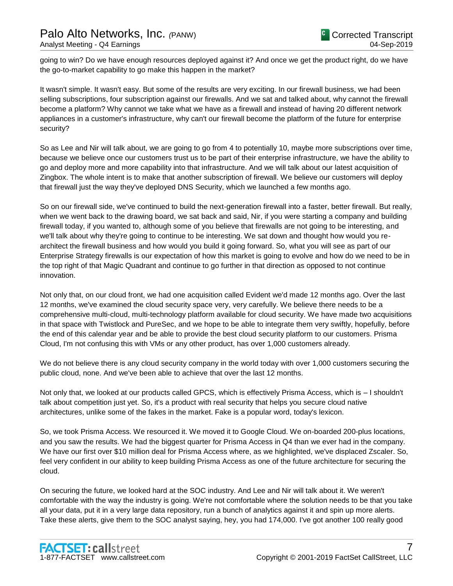going to win? Do we have enough resources deployed against it? And once we get the product right, do we have the go-to-market capability to go make this happen in the market?

It wasn't simple. It wasn't easy. But some of the results are very exciting. In our firewall business, we had been selling subscriptions, four subscription against our firewalls. And we sat and talked about, why cannot the firewall become a platform? Why cannot we take what we have as a firewall and instead of having 20 different network appliances in a customer's infrastructure, why can't our firewall become the platform of the future for enterprise security?

So as Lee and Nir will talk about, we are going to go from 4 to potentially 10, maybe more subscriptions over time, because we believe once our customers trust us to be part of their enterprise infrastructure, we have the ability to go and deploy more and more capability into that infrastructure. And we will talk about our latest acquisition of Zingbox. The whole intent is to make that another subscription of firewall. We believe our customers will deploy that firewall just the way they've deployed DNS Security, which we launched a few months ago.

So on our firewall side, we've continued to build the next-generation firewall into a faster, better firewall. But really, when we went back to the drawing board, we sat back and said, Nir, if you were starting a company and building firewall today, if you wanted to, although some of you believe that firewalls are not going to be interesting, and we'll talk about why they're going to continue to be interesting. We sat down and thought how would you rearchitect the firewall business and how would you build it going forward. So, what you will see as part of our Enterprise Strategy firewalls is our expectation of how this market is going to evolve and how do we need to be in the top right of that Magic Quadrant and continue to go further in that direction as opposed to not continue innovation.

Not only that, on our cloud front, we had one acquisition called Evident we'd made 12 months ago. Over the last 12 months, we've examined the cloud security space very, very carefully. We believe there needs to be a comprehensive multi-cloud, multi-technology platform available for cloud security. We have made two acquisitions in that space with Twistlock and PureSec, and we hope to be able to integrate them very swiftly, hopefully, before the end of this calendar year and be able to provide the best cloud security platform to our customers. Prisma Cloud, I'm not confusing this with VMs or any other product, has over 1,000 customers already.

We do not believe there is any cloud security company in the world today with over 1,000 customers securing the public cloud, none. And we've been able to achieve that over the last 12 months.

Not only that, we looked at our products called GPCS, which is effectively Prisma Access, which is – I shouldn't talk about competition just yet. So, it's a product with real security that helps you secure cloud native architectures, unlike some of the fakes in the market. Fake is a popular word, today's lexicon.

So, we took Prisma Access. We resourced it. We moved it to Google Cloud. We on-boarded 200-plus locations, and you saw the results. We had the biggest quarter for Prisma Access in Q4 than we ever had in the company. We have our first over \$10 million deal for Prisma Access where, as we highlighted, we've displaced Zscaler. So, feel very confident in our ability to keep building Prisma Access as one of the future architecture for securing the cloud.

On securing the future, we looked hard at the SOC industry. And Lee and Nir will talk about it. We weren't comfortable with the way the industry is going. We're not comfortable where the solution needs to be that you take all your data, put it in a very large data repository, run a bunch of analytics against it and spin up more alerts. Take these alerts, give them to the SOC analyst saying, hey, you had 174,000. I've got another 100 really good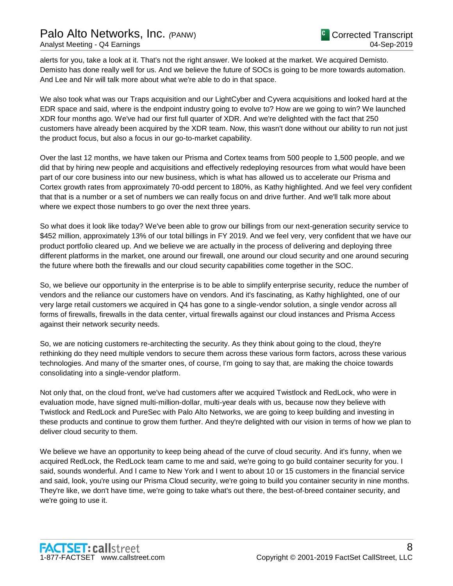alerts for you, take a look at it. That's not the right answer. We looked at the market. We acquired Demisto. Demisto has done really well for us. And we believe the future of SOCs is going to be more towards automation. And Lee and Nir will talk more about what we're able to do in that space.

We also took what was our Traps acquisition and our LightCyber and Cyvera acquisitions and looked hard at the EDR space and said, where is the endpoint industry going to evolve to? How are we going to win? We launched XDR four months ago. We've had our first full quarter of XDR. And we're delighted with the fact that 250 customers have already been acquired by the XDR team. Now, this wasn't done without our ability to run not just the product focus, but also a focus in our go-to-market capability.

Over the last 12 months, we have taken our Prisma and Cortex teams from 500 people to 1,500 people, and we did that by hiring new people and acquisitions and effectively redeploying resources from what would have been part of our core business into our new business, which is what has allowed us to accelerate our Prisma and Cortex growth rates from approximately 70-odd percent to 180%, as Kathy highlighted. And we feel very confident that that is a number or a set of numbers we can really focus on and drive further. And we'll talk more about where we expect those numbers to go over the next three years.

So what does it look like today? We've been able to grow our billings from our next-generation security service to \$452 million, approximately 13% of our total billings in FY 2019. And we feel very, very confident that we have our product portfolio cleared up. And we believe we are actually in the process of delivering and deploying three different platforms in the market, one around our firewall, one around our cloud security and one around securing the future where both the firewalls and our cloud security capabilities come together in the SOC.

So, we believe our opportunity in the enterprise is to be able to simplify enterprise security, reduce the number of vendors and the reliance our customers have on vendors. And it's fascinating, as Kathy highlighted, one of our very large retail customers we acquired in Q4 has gone to a single-vendor solution, a single vendor across all forms of firewalls, firewalls in the data center, virtual firewalls against our cloud instances and Prisma Access against their network security needs.

So, we are noticing customers re-architecting the security. As they think about going to the cloud, they're rethinking do they need multiple vendors to secure them across these various form factors, across these various technologies. And many of the smarter ones, of course, I'm going to say that, are making the choice towards consolidating into a single-vendor platform.

Not only that, on the cloud front, we've had customers after we acquired Twistlock and RedLock, who were in evaluation mode, have signed multi-million-dollar, multi-year deals with us, because now they believe with Twistlock and RedLock and PureSec with Palo Alto Networks, we are going to keep building and investing in these products and continue to grow them further. And they're delighted with our vision in terms of how we plan to deliver cloud security to them.

We believe we have an opportunity to keep being ahead of the curve of cloud security. And it's funny, when we acquired RedLock, the RedLock team came to me and said, we're going to go build container security for you. I said, sounds wonderful. And I came to New York and I went to about 10 or 15 customers in the financial service and said, look, you're using our Prisma Cloud security, we're going to build you container security in nine months. They're like, we don't have time, we're going to take what's out there, the best-of-breed container security, and we're going to use it.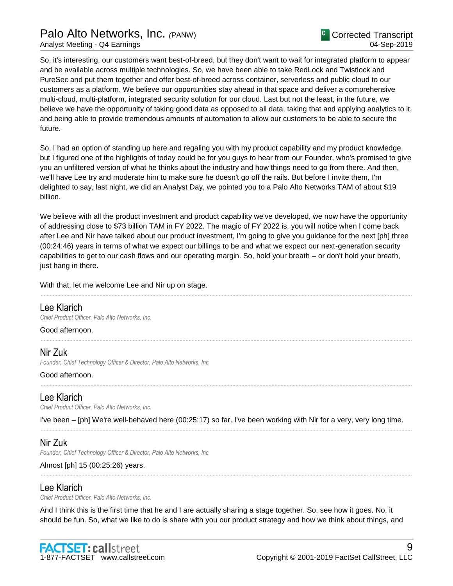So, it's interesting, our customers want best-of-breed, but they don't want to wait for integrated platform to appear and be available across multiple technologies. So, we have been able to take RedLock and Twistlock and PureSec and put them together and offer best-of-breed across container, serverless and public cloud to our customers as a platform. We believe our opportunities stay ahead in that space and deliver a comprehensive multi-cloud, multi-platform, integrated security solution for our cloud. Last but not the least, in the future, we believe we have the opportunity of taking good data as opposed to all data, taking that and applying analytics to it, and being able to provide tremendous amounts of automation to allow our customers to be able to secure the future.

So, I had an option of standing up here and regaling you with my product capability and my product knowledge, but I figured one of the highlights of today could be for you guys to hear from our Founder, who's promised to give you an unfiltered version of what he thinks about the industry and how things need to go from there. And then, we'll have Lee try and moderate him to make sure he doesn't go off the rails. But before I invite them, I'm delighted to say, last night, we did an Analyst Day, we pointed you to a Palo Alto Networks TAM of about \$19 billion.

We believe with all the product investment and product capability we've developed, we now have the opportunity of addressing close to \$73 billion TAM in FY 2022. The magic of FY 2022 is, you will notice when I come back after Lee and Nir have talked about our product investment, I'm going to give you guidance for the next [ph] three (00:24:46) years in terms of what we expect our billings to be and what we expect our next-generation security capabilities to get to our cash flows and our operating margin. So, hold your breath – or don't hold your breath, just hang in there.

......................................................................................................................................................................................................................................................

......................................................................................................................................................................................................................................................

......................................................................................................................................................................................................................................................

With that, let me welcome Lee and Nir up on stage.

### Lee Klarich

*Chief Product Officer, Palo Alto Networks, Inc.*

### Good afternoon.

# Nir Zuk

*Founder, Chief Technology Officer & Director, Palo Alto Networks, Inc.*

### Good afternoon.

# Lee Klarich

*Chief Product Officer, Palo Alto Networks, Inc.*

I've been – [ph] We're well-behaved here (00:25:17) so far. I've been working with Nir for a very, very long time. ......................................................................................................................................................................................................................................................

# Nir Zuk

*Founder, Chief Technology Officer & Director, Palo Alto Networks, Inc.*

# Almost [ph] 15 (00:25:26) years.

# Lee Klarich

*Chief Product Officer, Palo Alto Networks, Inc.*

And I think this is the first time that he and I are actually sharing a stage together. So, see how it goes. No, it should be fun. So, what we like to do is share with you our product strategy and how we think about things, and

......................................................................................................................................................................................................................................................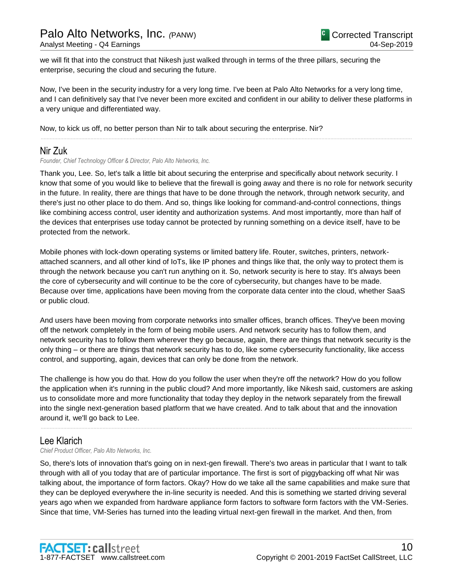we will fit that into the construct that Nikesh just walked through in terms of the three pillars, securing the enterprise, securing the cloud and securing the future.

Now, I've been in the security industry for a very long time. I've been at Palo Alto Networks for a very long time, and I can definitively say that I've never been more excited and confident in our ability to deliver these platforms in a very unique and differentiated way.

......................................................................................................................................................................................................................................................

Now, to kick us off, no better person than Nir to talk about securing the enterprise. Nir?

# Nir Zuk

*Founder, Chief Technology Officer & Director, Palo Alto Networks, Inc.*

Thank you, Lee. So, let's talk a little bit about securing the enterprise and specifically about network security. I know that some of you would like to believe that the firewall is going away and there is no role for network security in the future. In reality, there are things that have to be done through the network, through network security, and there's just no other place to do them. And so, things like looking for command-and-control connections, things like combining access control, user identity and authorization systems. And most importantly, more than half of the devices that enterprises use today cannot be protected by running something on a device itself, have to be protected from the network.

Mobile phones with lock-down operating systems or limited battery life. Router, switches, printers, networkattached scanners, and all other kind of IoTs, like IP phones and things like that, the only way to protect them is through the network because you can't run anything on it. So, network security is here to stay. It's always been the core of cybersecurity and will continue to be the core of cybersecurity, but changes have to be made. Because over time, applications have been moving from the corporate data center into the cloud, whether SaaS or public cloud.

And users have been moving from corporate networks into smaller offices, branch offices. They've been moving off the network completely in the form of being mobile users. And network security has to follow them, and network security has to follow them wherever they go because, again, there are things that network security is the only thing – or there are things that network security has to do, like some cybersecurity functionality, like access control, and supporting, again, devices that can only be done from the network.

The challenge is how you do that. How do you follow the user when they're off the network? How do you follow the application when it's running in the public cloud? And more importantly, like Nikesh said, customers are asking us to consolidate more and more functionality that today they deploy in the network separately from the firewall into the single next-generation based platform that we have created. And to talk about that and the innovation around it, we'll go back to Lee.

......................................................................................................................................................................................................................................................

### Lee Klarich

*Chief Product Officer, Palo Alto Networks, Inc.*

So, there's lots of innovation that's going on in next-gen firewall. There's two areas in particular that I want to talk through with all of you today that are of particular importance. The first is sort of piggybacking off what Nir was talking about, the importance of form factors. Okay? How do we take all the same capabilities and make sure that they can be deployed everywhere the in-line security is needed. And this is something we started driving several years ago when we expanded from hardware appliance form factors to software form factors with the VM-Series. Since that time, VM-Series has turned into the leading virtual next-gen firewall in the market. And then, from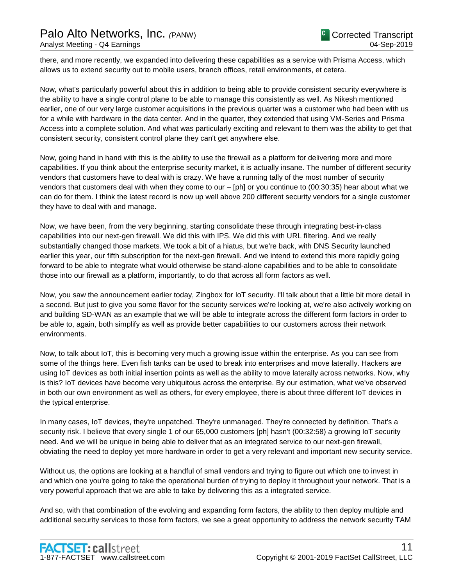there, and more recently, we expanded into delivering these capabilities as a service with Prisma Access, which allows us to extend security out to mobile users, branch offices, retail environments, et cetera.

Now, what's particularly powerful about this in addition to being able to provide consistent security everywhere is the ability to have a single control plane to be able to manage this consistently as well. As Nikesh mentioned earlier, one of our very large customer acquisitions in the previous quarter was a customer who had been with us for a while with hardware in the data center. And in the quarter, they extended that using VM-Series and Prisma Access into a complete solution. And what was particularly exciting and relevant to them was the ability to get that consistent security, consistent control plane they can't get anywhere else.

Now, going hand in hand with this is the ability to use the firewall as a platform for delivering more and more capabilities. If you think about the enterprise security market, it is actually insane. The number of different security vendors that customers have to deal with is crazy. We have a running tally of the most number of security vendors that customers deal with when they come to our – [ph] or you continue to (00:30:35) hear about what we can do for them. I think the latest record is now up well above 200 different security vendors for a single customer they have to deal with and manage.

Now, we have been, from the very beginning, starting consolidate these through integrating best-in-class capabilities into our next-gen firewall. We did this with IPS. We did this with URL filtering. And we really substantially changed those markets. We took a bit of a hiatus, but we're back, with DNS Security launched earlier this year, our fifth subscription for the next-gen firewall. And we intend to extend this more rapidly going forward to be able to integrate what would otherwise be stand-alone capabilities and to be able to consolidate those into our firewall as a platform, importantly, to do that across all form factors as well.

Now, you saw the announcement earlier today, Zingbox for IoT security. I'll talk about that a little bit more detail in a second. But just to give you some flavor for the security services we're looking at, we're also actively working on and building SD-WAN as an example that we will be able to integrate across the different form factors in order to be able to, again, both simplify as well as provide better capabilities to our customers across their network environments.

Now, to talk about IoT, this is becoming very much a growing issue within the enterprise. As you can see from some of the things here. Even fish tanks can be used to break into enterprises and move laterally. Hackers are using IoT devices as both initial insertion points as well as the ability to move laterally across networks. Now, why is this? IoT devices have become very ubiquitous across the enterprise. By our estimation, what we've observed in both our own environment as well as others, for every employee, there is about three different IoT devices in the typical enterprise.

In many cases, IoT devices, they're unpatched. They're unmanaged. They're connected by definition. That's a security risk. I believe that every single 1 of our 65,000 customers [ph] hasn't (00:32:58) a growing IoT security need. And we will be unique in being able to deliver that as an integrated service to our next-gen firewall, obviating the need to deploy yet more hardware in order to get a very relevant and important new security service.

Without us, the options are looking at a handful of small vendors and trying to figure out which one to invest in and which one you're going to take the operational burden of trying to deploy it throughout your network. That is a very powerful approach that we are able to take by delivering this as a integrated service.

And so, with that combination of the evolving and expanding form factors, the ability to then deploy multiple and additional security services to those form factors, we see a great opportunity to address the network security TAM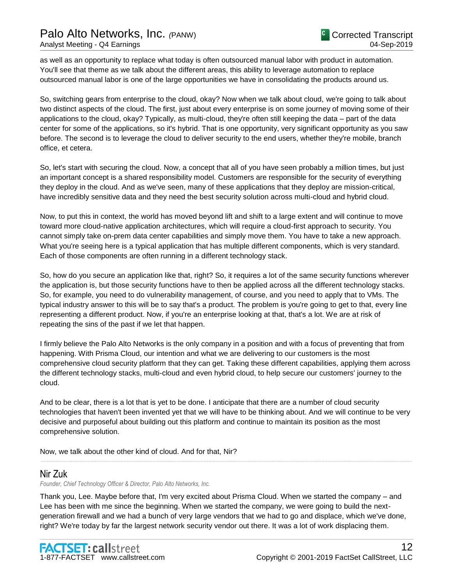as well as an opportunity to replace what today is often outsourced manual labor with product in automation. You'll see that theme as we talk about the different areas, this ability to leverage automation to replace outsourced manual labor is one of the large opportunities we have in consolidating the products around us.

So, switching gears from enterprise to the cloud, okay? Now when we talk about cloud, we're going to talk about two distinct aspects of the cloud. The first, just about every enterprise is on some journey of moving some of their applications to the cloud, okay? Typically, as multi-cloud, they're often still keeping the data – part of the data center for some of the applications, so it's hybrid. That is one opportunity, very significant opportunity as you saw before. The second is to leverage the cloud to deliver security to the end users, whether they're mobile, branch office, et cetera.

So, let's start with securing the cloud. Now, a concept that all of you have seen probably a million times, but just an important concept is a shared responsibility model. Customers are responsible for the security of everything they deploy in the cloud. And as we've seen, many of these applications that they deploy are mission-critical, have incredibly sensitive data and they need the best security solution across multi-cloud and hybrid cloud.

Now, to put this in context, the world has moved beyond lift and shift to a large extent and will continue to move toward more cloud-native application architectures, which will require a cloud-first approach to security. You cannot simply take on-prem data center capabilities and simply move them. You have to take a new approach. What you're seeing here is a typical application that has multiple different components, which is very standard. Each of those components are often running in a different technology stack.

So, how do you secure an application like that, right? So, it requires a lot of the same security functions wherever the application is, but those security functions have to then be applied across all the different technology stacks. So, for example, you need to do vulnerability management, of course, and you need to apply that to VMs. The typical industry answer to this will be to say that's a product. The problem is you're going to get to that, every line representing a different product. Now, if you're an enterprise looking at that, that's a lot. We are at risk of repeating the sins of the past if we let that happen.

I firmly believe the Palo Alto Networks is the only company in a position and with a focus of preventing that from happening. With Prisma Cloud, our intention and what we are delivering to our customers is the most comprehensive cloud security platform that they can get. Taking these different capabilities, applying them across the different technology stacks, multi-cloud and even hybrid cloud, to help secure our customers' journey to the cloud.

And to be clear, there is a lot that is yet to be done. I anticipate that there are a number of cloud security technologies that haven't been invented yet that we will have to be thinking about. And we will continue to be very decisive and purposeful about building out this platform and continue to maintain its position as the most comprehensive solution.

......................................................................................................................................................................................................................................................

Now, we talk about the other kind of cloud. And for that, Nir?

# Nir Zuk

*Founder, Chief Technology Officer & Director, Palo Alto Networks, Inc.*

Thank you, Lee. Maybe before that, I'm very excited about Prisma Cloud. When we started the company – and Lee has been with me since the beginning. When we started the company, we were going to build the nextgeneration firewall and we had a bunch of very large vendors that we had to go and displace, which we've done, right? We're today by far the largest network security vendor out there. It was a lot of work displacing them.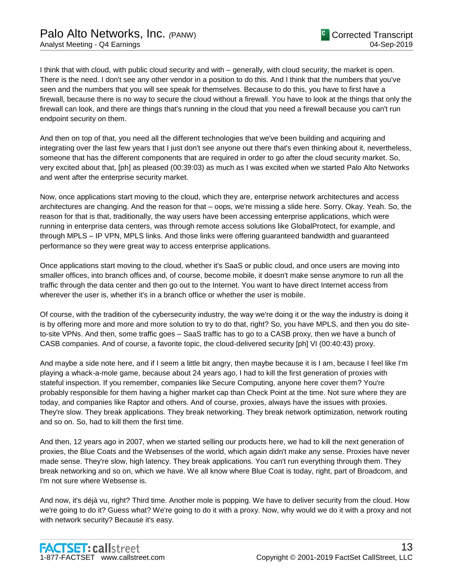I think that with cloud, with public cloud security and with – generally, with cloud security, the market is open. There is the need. I don't see any other vendor in a position to do this. And I think that the numbers that you've seen and the numbers that you will see speak for themselves. Because to do this, you have to first have a firewall, because there is no way to secure the cloud without a firewall. You have to look at the things that only the firewall can look, and there are things that's running in the cloud that you need a firewall because you can't run endpoint security on them.

And then on top of that, you need all the different technologies that we've been building and acquiring and integrating over the last few years that I just don't see anyone out there that's even thinking about it, nevertheless, someone that has the different components that are required in order to go after the cloud security market. So, very excited about that, [ph] as pleased (00:39:03) as much as I was excited when we started Palo Alto Networks and went after the enterprise security market.

Now, once applications start moving to the cloud, which they are, enterprise network architectures and access architectures are changing. And the reason for that – oops, we're missing a slide here. Sorry. Okay. Yeah. So, the reason for that is that, traditionally, the way users have been accessing enterprise applications, which were running in enterprise data centers, was through remote access solutions like GlobalProtect, for example, and through MPLS – IP VPN, MPLS links. And those links were offering guaranteed bandwidth and guaranteed performance so they were great way to access enterprise applications.

Once applications start moving to the cloud, whether it's SaaS or public cloud, and once users are moving into smaller offices, into branch offices and, of course, become mobile, it doesn't make sense anymore to run all the traffic through the data center and then go out to the Internet. You want to have direct Internet access from wherever the user is, whether it's in a branch office or whether the user is mobile.

Of course, with the tradition of the cybersecurity industry, the way we're doing it or the way the industry is doing it is by offering more and more and more solution to try to do that, right? So, you have MPLS, and then you do siteto-site VPNs. And then, some traffic goes – SaaS traffic has to go to a CASB proxy, then we have a bunch of CASB companies. And of course, a favorite topic, the cloud-delivered security [ph] VI (00:40:43) proxy.

And maybe a side note here, and if I seem a little bit angry, then maybe because it is I am, because I feel like I'm playing a whack-a-mole game, because about 24 years ago, I had to kill the first generation of proxies with stateful inspection. If you remember, companies like Secure Computing, anyone here cover them? You're probably responsible for them having a higher market cap than Check Point at the time. Not sure where they are today, and companies like Raptor and others. And of course, proxies, always have the issues with proxies. They're slow. They break applications. They break networking. They break network optimization, network routing and so on. So, had to kill them the first time.

And then, 12 years ago in 2007, when we started selling our products here, we had to kill the next generation of proxies, the Blue Coats and the Websenses of the world, which again didn't make any sense. Proxies have never made sense. They're slow, high latency. They break applications. You can't run everything through them. They break networking and so on, which we have. We all know where Blue Coat is today, right, part of Broadcom, and I'm not sure where Websense is.

And now, it's déjà vu, right? Third time. Another mole is popping. We have to deliver security from the cloud. How we're going to do it? Guess what? We're going to do it with a proxy. Now, why would we do it with a proxy and not with network security? Because it's easy.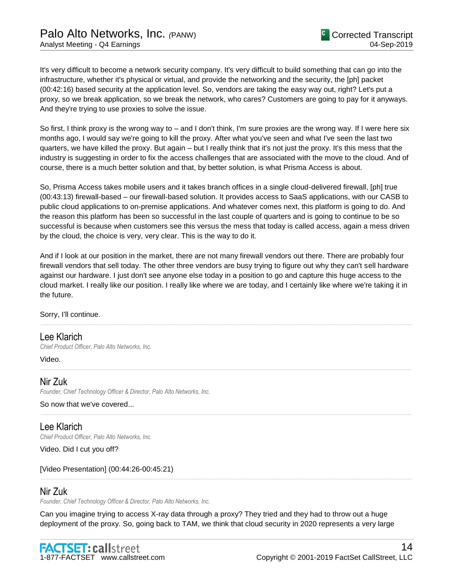It's very difficult to become a network security company. It's very difficult to build something that can go into the infrastructure, whether it's physical or virtual, and provide the networking and the security, the [ph] packet (00:42:16) based security at the application level. So, vendors are taking the easy way out, right? Let's put a proxy, so we break application, so we break the network, who cares? Customers are going to pay for it anyways. And they're trying to use proxies to solve the issue.

So first, I think proxy is the wrong way to – and I don't think, I'm sure proxies are the wrong way. If I were here six months ago, I would say we're going to kill the proxy. After what you've seen and what I've seen the last two quarters, we have killed the proxy. But again – but I really think that it's not just the proxy. It's this mess that the industry is suggesting in order to fix the access challenges that are associated with the move to the cloud. And of course, there is a much better solution and that, by better solution, is what Prisma Access is about.

So, Prisma Access takes mobile users and it takes branch offices in a single cloud-delivered firewall, [ph] true (00:43:13) firewall-based – our firewall-based solution. It provides access to SaaS applications, with our CASB to public cloud applications to on-premise applications. And whatever comes next, this platform is going to do. And the reason this platform has been so successful in the last couple of quarters and is going to continue to be so successful is because when customers see this versus the mess that today is called access, again a mess driven by the cloud, the choice is very, very clear. This is the way to do it.

And if I look at our position in the market, there are not many firewall vendors out there. There are probably four firewall vendors that sell today. The other three vendors are busy trying to figure out why they can't sell hardware against our hardware. I just don't see anyone else today in a position to go and capture this huge access to the cloud market. I really like our position. I really like where we are today, and I certainly like where we're taking it in the future.

......................................................................................................................................................................................................................................................

......................................................................................................................................................................................................................................................

......................................................................................................................................................................................................................................................

......................................................................................................................................................................................................................................................

Sorry, I'll continue.

# Lee Klarich

*Chief Product Officer, Palo Alto Networks, Inc.*

Video.

# Nir Zuk

*Founder, Chief Technology Officer & Director, Palo Alto Networks, Inc.*

So now that we've covered...

Lee Klarich *Chief Product Officer, Palo Alto Networks, Inc.*

Video. Did I cut you off?

[Video Presentation] (00:44:26-00:45:21)

# Nir Zuk

*Founder, Chief Technology Officer & Director, Palo Alto Networks, Inc.*

Can you imagine trying to access X-ray data through a proxy? They tried and they had to throw out a huge deployment of the proxy. So, going back to TAM, we think that cloud security in 2020 represents a very large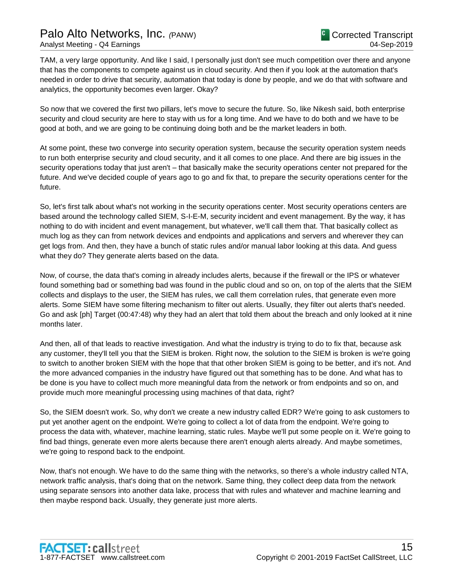TAM, a very large opportunity. And like I said, I personally just don't see much competition over there and anyone that has the components to compete against us in cloud security. And then if you look at the automation that's needed in order to drive that security, automation that today is done by people, and we do that with software and analytics, the opportunity becomes even larger. Okay?

So now that we covered the first two pillars, let's move to secure the future. So, like Nikesh said, both enterprise security and cloud security are here to stay with us for a long time. And we have to do both and we have to be good at both, and we are going to be continuing doing both and be the market leaders in both.

At some point, these two converge into security operation system, because the security operation system needs to run both enterprise security and cloud security, and it all comes to one place. And there are big issues in the security operations today that just aren't – that basically make the security operations center not prepared for the future. And we've decided couple of years ago to go and fix that, to prepare the security operations center for the future.

So, let's first talk about what's not working in the security operations center. Most security operations centers are based around the technology called SIEM, S-I-E-M, security incident and event management. By the way, it has nothing to do with incident and event management, but whatever, we'll call them that. That basically collect as much log as they can from network devices and endpoints and applications and servers and wherever they can get logs from. And then, they have a bunch of static rules and/or manual labor looking at this data. And guess what they do? They generate alerts based on the data.

Now, of course, the data that's coming in already includes alerts, because if the firewall or the IPS or whatever found something bad or something bad was found in the public cloud and so on, on top of the alerts that the SIEM collects and displays to the user, the SIEM has rules, we call them correlation rules, that generate even more alerts. Some SIEM have some filtering mechanism to filter out alerts. Usually, they filter out alerts that's needed. Go and ask [ph] Target (00:47:48) why they had an alert that told them about the breach and only looked at it nine months later.

And then, all of that leads to reactive investigation. And what the industry is trying to do to fix that, because ask any customer, they'll tell you that the SIEM is broken. Right now, the solution to the SIEM is broken is we're going to switch to another broken SIEM with the hope that that other broken SIEM is going to be better, and it's not. And the more advanced companies in the industry have figured out that something has to be done. And what has to be done is you have to collect much more meaningful data from the network or from endpoints and so on, and provide much more meaningful processing using machines of that data, right?

So, the SIEM doesn't work. So, why don't we create a new industry called EDR? We're going to ask customers to put yet another agent on the endpoint. We're going to collect a lot of data from the endpoint. We're going to process the data with, whatever, machine learning, static rules. Maybe we'll put some people on it. We're going to find bad things, generate even more alerts because there aren't enough alerts already. And maybe sometimes, we're going to respond back to the endpoint.

Now, that's not enough. We have to do the same thing with the networks, so there's a whole industry called NTA, network traffic analysis, that's doing that on the network. Same thing, they collect deep data from the network using separate sensors into another data lake, process that with rules and whatever and machine learning and then maybe respond back. Usually, they generate just more alerts.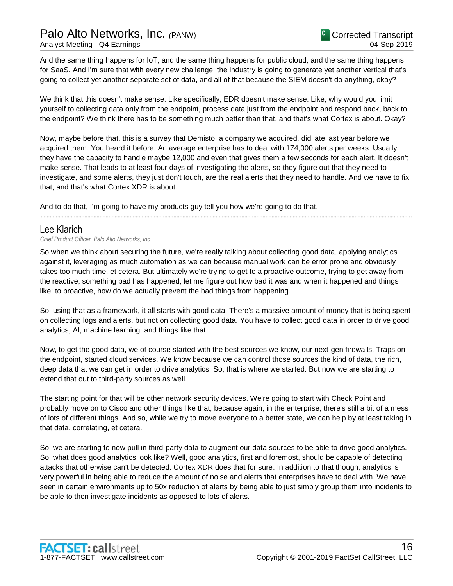And the same thing happens for IoT, and the same thing happens for public cloud, and the same thing happens for SaaS. And I'm sure that with every new challenge, the industry is going to generate yet another vertical that's going to collect yet another separate set of data, and all of that because the SIEM doesn't do anything, okay?

We think that this doesn't make sense. Like specifically, EDR doesn't make sense. Like, why would you limit yourself to collecting data only from the endpoint, process data just from the endpoint and respond back, back to the endpoint? We think there has to be something much better than that, and that's what Cortex is about. Okay?

Now, maybe before that, this is a survey that Demisto, a company we acquired, did late last year before we acquired them. You heard it before. An average enterprise has to deal with 174,000 alerts per weeks. Usually, they have the capacity to handle maybe 12,000 and even that gives them a few seconds for each alert. It doesn't make sense. That leads to at least four days of investigating the alerts, so they figure out that they need to investigate, and some alerts, they just don't touch, are the real alerts that they need to handle. And we have to fix that, and that's what Cortex XDR is about.

......................................................................................................................................................................................................................................................

And to do that, I'm going to have my products guy tell you how we're going to do that.

# Lee Klarich

*Chief Product Officer, Palo Alto Networks, Inc.*

So when we think about securing the future, we're really talking about collecting good data, applying analytics against it, leveraging as much automation as we can because manual work can be error prone and obviously takes too much time, et cetera. But ultimately we're trying to get to a proactive outcome, trying to get away from the reactive, something bad has happened, let me figure out how bad it was and when it happened and things like; to proactive, how do we actually prevent the bad things from happening.

So, using that as a framework, it all starts with good data. There's a massive amount of money that is being spent on collecting logs and alerts, but not on collecting good data. You have to collect good data in order to drive good analytics, AI, machine learning, and things like that.

Now, to get the good data, we of course started with the best sources we know, our next-gen firewalls, Traps on the endpoint, started cloud services. We know because we can control those sources the kind of data, the rich, deep data that we can get in order to drive analytics. So, that is where we started. But now we are starting to extend that out to third-party sources as well.

The starting point for that will be other network security devices. We're going to start with Check Point and probably move on to Cisco and other things like that, because again, in the enterprise, there's still a bit of a mess of lots of different things. And so, while we try to move everyone to a better state, we can help by at least taking in that data, correlating, et cetera.

So, we are starting to now pull in third-party data to augment our data sources to be able to drive good analytics. So, what does good analytics look like? Well, good analytics, first and foremost, should be capable of detecting attacks that otherwise can't be detected. Cortex XDR does that for sure. In addition to that though, analytics is very powerful in being able to reduce the amount of noise and alerts that enterprises have to deal with. We have seen in certain environments up to 50x reduction of alerts by being able to just simply group them into incidents to be able to then investigate incidents as opposed to lots of alerts.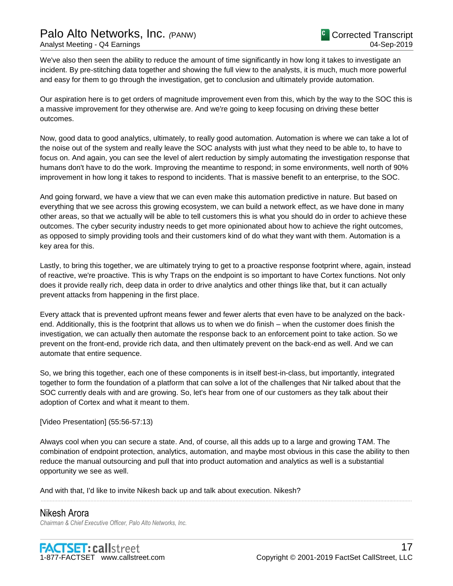We've also then seen the ability to reduce the amount of time significantly in how long it takes to investigate an incident. By pre-stitching data together and showing the full view to the analysts, it is much, much more powerful and easy for them to go through the investigation, get to conclusion and ultimately provide automation.

Our aspiration here is to get orders of magnitude improvement even from this, which by the way to the SOC this is a massive improvement for they otherwise are. And we're going to keep focusing on driving these better outcomes.

Now, good data to good analytics, ultimately, to really good automation. Automation is where we can take a lot of the noise out of the system and really leave the SOC analysts with just what they need to be able to, to have to focus on. And again, you can see the level of alert reduction by simply automating the investigation response that humans don't have to do the work. Improving the meantime to respond; in some environments, well north of 90% improvement in how long it takes to respond to incidents. That is massive benefit to an enterprise, to the SOC.

And going forward, we have a view that we can even make this automation predictive in nature. But based on everything that we see across this growing ecosystem, we can build a network effect, as we have done in many other areas, so that we actually will be able to tell customers this is what you should do in order to achieve these outcomes. The cyber security industry needs to get more opinionated about how to achieve the right outcomes, as opposed to simply providing tools and their customers kind of do what they want with them. Automation is a key area for this.

Lastly, to bring this together, we are ultimately trying to get to a proactive response footprint where, again, instead of reactive, we're proactive. This is why Traps on the endpoint is so important to have Cortex functions. Not only does it provide really rich, deep data in order to drive analytics and other things like that, but it can actually prevent attacks from happening in the first place.

Every attack that is prevented upfront means fewer and fewer alerts that even have to be analyzed on the backend. Additionally, this is the footprint that allows us to when we do finish – when the customer does finish the investigation, we can actually then automate the response back to an enforcement point to take action. So we prevent on the front-end, provide rich data, and then ultimately prevent on the back-end as well. And we can automate that entire sequence.

So, we bring this together, each one of these components is in itself best-in-class, but importantly, integrated together to form the foundation of a platform that can solve a lot of the challenges that Nir talked about that the SOC currently deals with and are growing. So, let's hear from one of our customers as they talk about their adoption of Cortex and what it meant to them.

### [Video Presentation] (55:56-57:13)

Always cool when you can secure a state. And, of course, all this adds up to a large and growing TAM. The combination of endpoint protection, analytics, automation, and maybe most obvious in this case the ability to then reduce the manual outsourcing and pull that into product automation and analytics as well is a substantial opportunity we see as well.

......................................................................................................................................................................................................................................................

And with that, I'd like to invite Nikesh back up and talk about execution. Nikesh?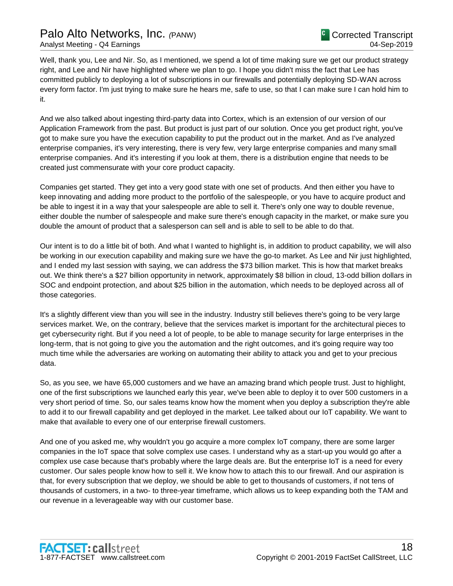# Palo Alto Networks, Inc. *(*PANW) Analyst Meeting - Q4 Earnings

Well, thank you, Lee and Nir. So, as I mentioned, we spend a lot of time making sure we get our product strategy right, and Lee and Nir have highlighted where we plan to go. I hope you didn't miss the fact that Lee has committed publicly to deploying a lot of subscriptions in our firewalls and potentially deploying SD-WAN across every form factor. I'm just trying to make sure he hears me, safe to use, so that I can make sure I can hold him to it.

And we also talked about ingesting third-party data into Cortex, which is an extension of our version of our Application Framework from the past. But product is just part of our solution. Once you get product right, you've got to make sure you have the execution capability to put the product out in the market. And as I've analyzed enterprise companies, it's very interesting, there is very few, very large enterprise companies and many small enterprise companies. And it's interesting if you look at them, there is a distribution engine that needs to be created just commensurate with your core product capacity.

Companies get started. They get into a very good state with one set of products. And then either you have to keep innovating and adding more product to the portfolio of the salespeople, or you have to acquire product and be able to ingest it in a way that your salespeople are able to sell it. There's only one way to double revenue, either double the number of salespeople and make sure there's enough capacity in the market, or make sure you double the amount of product that a salesperson can sell and is able to sell to be able to do that.

Our intent is to do a little bit of both. And what I wanted to highlight is, in addition to product capability, we will also be working in our execution capability and making sure we have the go-to market. As Lee and Nir just highlighted, and I ended my last session with saying, we can address the \$73 billion market. This is how that market breaks out. We think there's a \$27 billion opportunity in network, approximately \$8 billion in cloud, 13-odd billion dollars in SOC and endpoint protection, and about \$25 billion in the automation, which needs to be deployed across all of those categories.

It's a slightly different view than you will see in the industry. Industry still believes there's going to be very large services market. We, on the contrary, believe that the services market is important for the architectural pieces to get cybersecurity right. But if you need a lot of people, to be able to manage security for large enterprises in the long-term, that is not going to give you the automation and the right outcomes, and it's going require way too much time while the adversaries are working on automating their ability to attack you and get to your precious data.

So, as you see, we have 65,000 customers and we have an amazing brand which people trust. Just to highlight, one of the first subscriptions we launched early this year, we've been able to deploy it to over 500 customers in a very short period of time. So, our sales teams know how the moment when you deploy a subscription they're able to add it to our firewall capability and get deployed in the market. Lee talked about our IoT capability. We want to make that available to every one of our enterprise firewall customers.

And one of you asked me, why wouldn't you go acquire a more complex IoT company, there are some larger companies in the IoT space that solve complex use cases. I understand why as a start-up you would go after a complex use case because that's probably where the large deals are. But the enterprise IoT is a need for every customer. Our sales people know how to sell it. We know how to attach this to our firewall. And our aspiration is that, for every subscription that we deploy, we should be able to get to thousands of customers, if not tens of thousands of customers, in a two- to three-year timeframe, which allows us to keep expanding both the TAM and our revenue in a leverageable way with our customer base.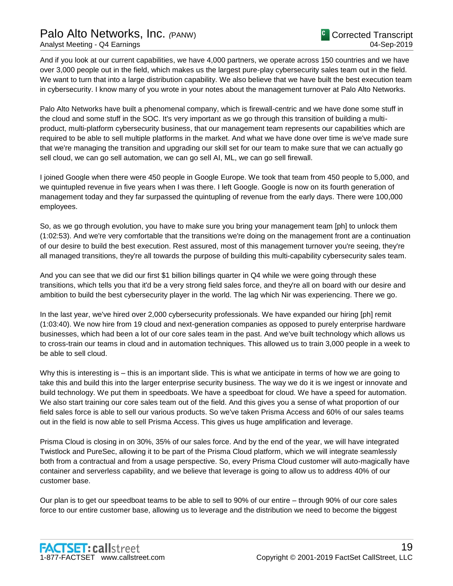And if you look at our current capabilities, we have 4,000 partners, we operate across 150 countries and we have over 3,000 people out in the field, which makes us the largest pure-play cybersecurity sales team out in the field. We want to turn that into a large distribution capability. We also believe that we have built the best execution team in cybersecurity. I know many of you wrote in your notes about the management turnover at Palo Alto Networks.

Palo Alto Networks have built a phenomenal company, which is firewall-centric and we have done some stuff in the cloud and some stuff in the SOC. It's very important as we go through this transition of building a multiproduct, multi-platform cybersecurity business, that our management team represents our capabilities which are required to be able to sell multiple platforms in the market. And what we have done over time is we've made sure that we're managing the transition and upgrading our skill set for our team to make sure that we can actually go sell cloud, we can go sell automation, we can go sell AI, ML, we can go sell firewall.

I joined Google when there were 450 people in Google Europe. We took that team from 450 people to 5,000, and we quintupled revenue in five years when I was there. I left Google. Google is now on its fourth generation of management today and they far surpassed the quintupling of revenue from the early days. There were 100,000 employees.

So, as we go through evolution, you have to make sure you bring your management team [ph] to unlock them (1:02:53). And we're very comfortable that the transitions we're doing on the management front are a continuation of our desire to build the best execution. Rest assured, most of this management turnover you're seeing, they're all managed transitions, they're all towards the purpose of building this multi-capability cybersecurity sales team.

And you can see that we did our first \$1 billion billings quarter in Q4 while we were going through these transitions, which tells you that it'd be a very strong field sales force, and they're all on board with our desire and ambition to build the best cybersecurity player in the world. The lag which Nir was experiencing. There we go.

In the last year, we've hired over 2,000 cybersecurity professionals. We have expanded our hiring [ph] remit (1:03:40). We now hire from 19 cloud and next-generation companies as opposed to purely enterprise hardware businesses, which had been a lot of our core sales team in the past. And we've built technology which allows us to cross-train our teams in cloud and in automation techniques. This allowed us to train 3,000 people in a week to be able to sell cloud.

Why this is interesting is – this is an important slide. This is what we anticipate in terms of how we are going to take this and build this into the larger enterprise security business. The way we do it is we ingest or innovate and build technology. We put them in speedboats. We have a speedboat for cloud. We have a speed for automation. We also start training our core sales team out of the field. And this gives you a sense of what proportion of our field sales force is able to sell our various products. So we've taken Prisma Access and 60% of our sales teams out in the field is now able to sell Prisma Access. This gives us huge amplification and leverage.

Prisma Cloud is closing in on 30%, 35% of our sales force. And by the end of the year, we will have integrated Twistlock and PureSec, allowing it to be part of the Prisma Cloud platform, which we will integrate seamlessly both from a contractual and from a usage perspective. So, every Prisma Cloud customer will auto-magically have container and serverless capability, and we believe that leverage is going to allow us to address 40% of our customer base.

Our plan is to get our speedboat teams to be able to sell to 90% of our entire – through 90% of our core sales force to our entire customer base, allowing us to leverage and the distribution we need to become the biggest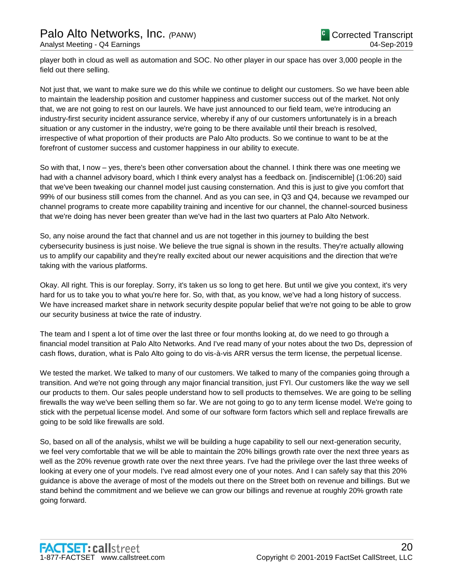player both in cloud as well as automation and SOC. No other player in our space has over 3,000 people in the field out there selling.

Not just that, we want to make sure we do this while we continue to delight our customers. So we have been able to maintain the leadership position and customer happiness and customer success out of the market. Not only that, we are not going to rest on our laurels. We have just announced to our field team, we're introducing an industry-first security incident assurance service, whereby if any of our customers unfortunately is in a breach situation or any customer in the industry, we're going to be there available until their breach is resolved, irrespective of what proportion of their products are Palo Alto products. So we continue to want to be at the forefront of customer success and customer happiness in our ability to execute.

So with that, I now – yes, there's been other conversation about the channel. I think there was one meeting we had with a channel advisory board, which I think every analyst has a feedback on. [indiscernible] (1:06:20) said that we've been tweaking our channel model just causing consternation. And this is just to give you comfort that 99% of our business still comes from the channel. And as you can see, in Q3 and Q4, because we revamped our channel programs to create more capability training and incentive for our channel, the channel-sourced business that we're doing has never been greater than we've had in the last two quarters at Palo Alto Network.

So, any noise around the fact that channel and us are not together in this journey to building the best cybersecurity business is just noise. We believe the true signal is shown in the results. They're actually allowing us to amplify our capability and they're really excited about our newer acquisitions and the direction that we're taking with the various platforms.

Okay. All right. This is our foreplay. Sorry, it's taken us so long to get here. But until we give you context, it's very hard for us to take you to what you're here for. So, with that, as you know, we've had a long history of success. We have increased market share in network security despite popular belief that we're not going to be able to grow our security business at twice the rate of industry.

The team and I spent a lot of time over the last three or four months looking at, do we need to go through a financial model transition at Palo Alto Networks. And I've read many of your notes about the two Ds, depression of cash flows, duration, what is Palo Alto going to do vis-à-vis ARR versus the term license, the perpetual license.

We tested the market. We talked to many of our customers. We talked to many of the companies going through a transition. And we're not going through any major financial transition, just FYI. Our customers like the way we sell our products to them. Our sales people understand how to sell products to themselves. We are going to be selling firewalls the way we've been selling them so far. We are not going to go to any term license model. We're going to stick with the perpetual license model. And some of our software form factors which sell and replace firewalls are going to be sold like firewalls are sold.

So, based on all of the analysis, whilst we will be building a huge capability to sell our next-generation security, we feel very comfortable that we will be able to maintain the 20% billings growth rate over the next three years as well as the 20% revenue growth rate over the next three years. I've had the privilege over the last three weeks of looking at every one of your models. I've read almost every one of your notes. And I can safely say that this 20% guidance is above the average of most of the models out there on the Street both on revenue and billings. But we stand behind the commitment and we believe we can grow our billings and revenue at roughly 20% growth rate going forward.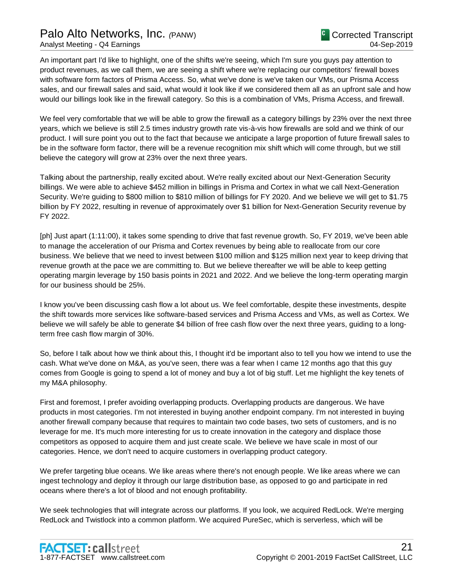# Palo Alto Networks, Inc. *(*PANW) Analyst Meeting - Q4 Earnings

An important part I'd like to highlight, one of the shifts we're seeing, which I'm sure you guys pay attention to product revenues, as we call them, we are seeing a shift where we're replacing our competitors' firewall boxes with software form factors of Prisma Access. So, what we've done is we've taken our VMs, our Prisma Access sales, and our firewall sales and said, what would it look like if we considered them all as an upfront sale and how would our billings look like in the firewall category. So this is a combination of VMs, Prisma Access, and firewall.

We feel very comfortable that we will be able to grow the firewall as a category billings by 23% over the next three years, which we believe is still 2.5 times industry growth rate vis-à-vis how firewalls are sold and we think of our product. I will sure point you out to the fact that because we anticipate a large proportion of future firewall sales to be in the software form factor, there will be a revenue recognition mix shift which will come through, but we still believe the category will grow at 23% over the next three years.

Talking about the partnership, really excited about. We're really excited about our Next-Generation Security billings. We were able to achieve \$452 million in billings in Prisma and Cortex in what we call Next-Generation Security. We're guiding to \$800 million to \$810 million of billings for FY 2020. And we believe we will get to \$1.75 billion by FY 2022, resulting in revenue of approximately over \$1 billion for Next-Generation Security revenue by FY 2022.

[ph] Just apart (1:11:00), it takes some spending to drive that fast revenue growth. So, FY 2019, we've been able to manage the acceleration of our Prisma and Cortex revenues by being able to reallocate from our core business. We believe that we need to invest between \$100 million and \$125 million next year to keep driving that revenue growth at the pace we are committing to. But we believe thereafter we will be able to keep getting operating margin leverage by 150 basis points in 2021 and 2022. And we believe the long-term operating margin for our business should be 25%.

I know you've been discussing cash flow a lot about us. We feel comfortable, despite these investments, despite the shift towards more services like software-based services and Prisma Access and VMs, as well as Cortex. We believe we will safely be able to generate \$4 billion of free cash flow over the next three years, guiding to a longterm free cash flow margin of 30%.

So, before I talk about how we think about this, I thought it'd be important also to tell you how we intend to use the cash. What we've done on M&A, as you've seen, there was a fear when I came 12 months ago that this guy comes from Google is going to spend a lot of money and buy a lot of big stuff. Let me highlight the key tenets of my M&A philosophy.

First and foremost, I prefer avoiding overlapping products. Overlapping products are dangerous. We have products in most categories. I'm not interested in buying another endpoint company. I'm not interested in buying another firewall company because that requires to maintain two code bases, two sets of customers, and is no leverage for me. It's much more interesting for us to create innovation in the category and displace those competitors as opposed to acquire them and just create scale. We believe we have scale in most of our categories. Hence, we don't need to acquire customers in overlapping product category.

We prefer targeting blue oceans. We like areas where there's not enough people. We like areas where we can ingest technology and deploy it through our large distribution base, as opposed to go and participate in red oceans where there's a lot of blood and not enough profitability.

We seek technologies that will integrate across our platforms. If you look, we acquired RedLock. We're merging RedLock and Twistlock into a common platform. We acquired PureSec, which is serverless, which will be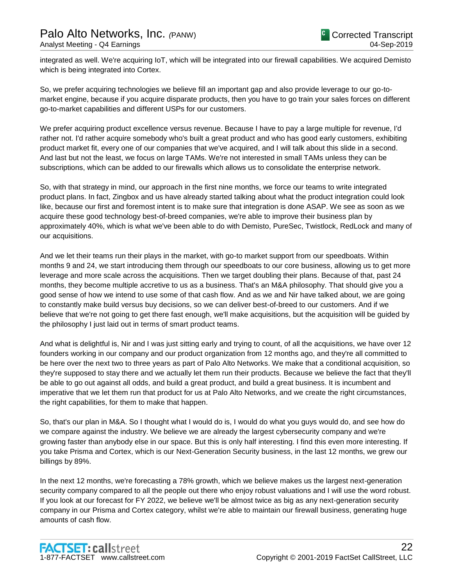integrated as well. We're acquiring IoT, which will be integrated into our firewall capabilities. We acquired Demisto which is being integrated into Cortex.

So, we prefer acquiring technologies we believe fill an important gap and also provide leverage to our go-tomarket engine, because if you acquire disparate products, then you have to go train your sales forces on different go-to-market capabilities and different USPs for our customers.

We prefer acquiring product excellence versus revenue. Because I have to pay a large multiple for revenue, I'd rather not. I'd rather acquire somebody who's built a great product and who has good early customers, exhibiting product market fit, every one of our companies that we've acquired, and I will talk about this slide in a second. And last but not the least, we focus on large TAMs. We're not interested in small TAMs unless they can be subscriptions, which can be added to our firewalls which allows us to consolidate the enterprise network.

So, with that strategy in mind, our approach in the first nine months, we force our teams to write integrated product plans. In fact, Zingbox and us have already started talking about what the product integration could look like, because our first and foremost intent is to make sure that integration is done ASAP. We see as soon as we acquire these good technology best-of-breed companies, we're able to improve their business plan by approximately 40%, which is what we've been able to do with Demisto, PureSec, Twistlock, RedLock and many of our acquisitions.

And we let their teams run their plays in the market, with go-to market support from our speedboats. Within months 9 and 24, we start introducing them through our speedboats to our core business, allowing us to get more leverage and more scale across the acquisitions. Then we target doubling their plans. Because of that, past 24 months, they become multiple accretive to us as a business. That's an M&A philosophy. That should give you a good sense of how we intend to use some of that cash flow. And as we and Nir have talked about, we are going to constantly make build versus buy decisions, so we can deliver best-of-breed to our customers. And if we believe that we're not going to get there fast enough, we'll make acquisitions, but the acquisition will be guided by the philosophy I just laid out in terms of smart product teams.

And what is delightful is, Nir and I was just sitting early and trying to count, of all the acquisitions, we have over 12 founders working in our company and our product organization from 12 months ago, and they're all committed to be here over the next two to three years as part of Palo Alto Networks. We make that a conditional acquisition, so they're supposed to stay there and we actually let them run their products. Because we believe the fact that they'll be able to go out against all odds, and build a great product, and build a great business. It is incumbent and imperative that we let them run that product for us at Palo Alto Networks, and we create the right circumstances, the right capabilities, for them to make that happen.

So, that's our plan in M&A. So I thought what I would do is, I would do what you guys would do, and see how do we compare against the industry. We believe we are already the largest cybersecurity company and we're growing faster than anybody else in our space. But this is only half interesting. I find this even more interesting. If you take Prisma and Cortex, which is our Next-Generation Security business, in the last 12 months, we grew our billings by 89%.

In the next 12 months, we're forecasting a 78% growth, which we believe makes us the largest next-generation security company compared to all the people out there who enjoy robust valuations and I will use the word robust. If you look at our forecast for FY 2022, we believe we'll be almost twice as big as any next-generation security company in our Prisma and Cortex category, whilst we're able to maintain our firewall business, generating huge amounts of cash flow.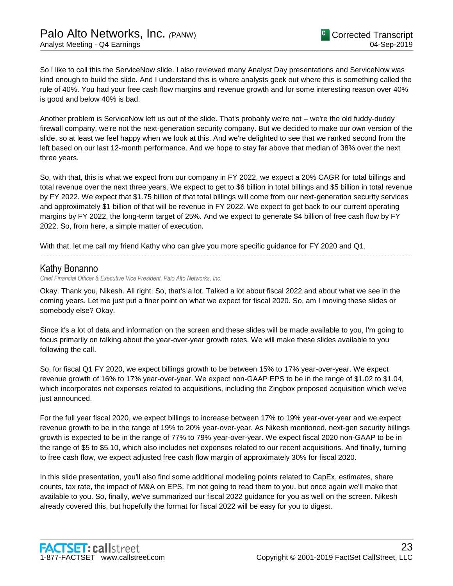So I like to call this the ServiceNow slide. I also reviewed many Analyst Day presentations and ServiceNow was kind enough to build the slide. And I understand this is where analysts geek out where this is something called the rule of 40%. You had your free cash flow margins and revenue growth and for some interesting reason over 40% is good and below 40% is bad.

Another problem is ServiceNow left us out of the slide. That's probably we're not – we're the old fuddy-duddy firewall company, we're not the next-generation security company. But we decided to make our own version of the slide, so at least we feel happy when we look at this. And we're delighted to see that we ranked second from the left based on our last 12-month performance. And we hope to stay far above that median of 38% over the next three years.

So, with that, this is what we expect from our company in FY 2022, we expect a 20% CAGR for total billings and total revenue over the next three years. We expect to get to \$6 billion in total billings and \$5 billion in total revenue by FY 2022. We expect that \$1.75 billion of that total billings will come from our next-generation security services and approximately \$1 billion of that will be revenue in FY 2022. We expect to get back to our current operating margins by FY 2022, the long-term target of 25%. And we expect to generate \$4 billion of free cash flow by FY 2022. So, from here, a simple matter of execution.

......................................................................................................................................................................................................................................................

With that, let me call my friend Kathy who can give you more specific guidance for FY 2020 and Q1.

# Kathy Bonanno

*Chief Financial Officer & Executive Vice President, Palo Alto Networks, Inc.*

Okay. Thank you, Nikesh. All right. So, that's a lot. Talked a lot about fiscal 2022 and about what we see in the coming years. Let me just put a finer point on what we expect for fiscal 2020. So, am I moving these slides or somebody else? Okay.

Since it's a lot of data and information on the screen and these slides will be made available to you, I'm going to focus primarily on talking about the year-over-year growth rates. We will make these slides available to you following the call.

So, for fiscal Q1 FY 2020, we expect billings growth to be between 15% to 17% year-over-year. We expect revenue growth of 16% to 17% year-over-year. We expect non-GAAP EPS to be in the range of \$1.02 to \$1.04, which incorporates net expenses related to acquisitions, including the Zingbox proposed acquisition which we've just announced.

For the full year fiscal 2020, we expect billings to increase between 17% to 19% year-over-year and we expect revenue growth to be in the range of 19% to 20% year-over-year. As Nikesh mentioned, next-gen security billings growth is expected to be in the range of 77% to 79% year-over-year. We expect fiscal 2020 non-GAAP to be in the range of \$5 to \$5.10, which also includes net expenses related to our recent acquisitions. And finally, turning to free cash flow, we expect adjusted free cash flow margin of approximately 30% for fiscal 2020.

In this slide presentation, you'll also find some additional modeling points related to CapEx, estimates, share counts, tax rate, the impact of M&A on EPS. I'm not going to read them to you, but once again we'll make that available to you. So, finally, we've summarized our fiscal 2022 guidance for you as well on the screen. Nikesh already covered this, but hopefully the format for fiscal 2022 will be easy for you to digest.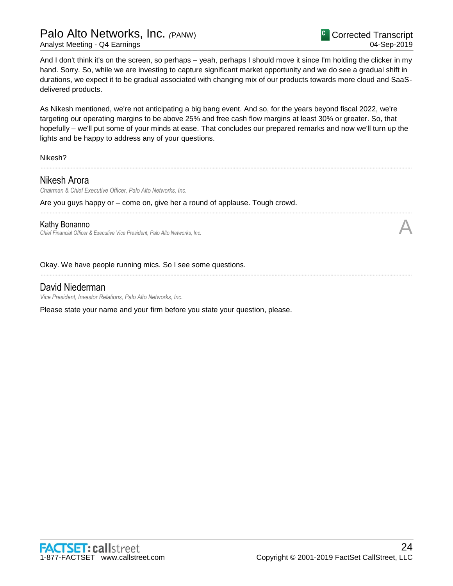And I don't think it's on the screen, so perhaps – yeah, perhaps I should move it since I'm holding the clicker in my hand. Sorry. So, while we are investing to capture significant market opportunity and we do see a gradual shift in durations, we expect it to be gradual associated with changing mix of our products towards more cloud and SaaSdelivered products.

As Nikesh mentioned, we're not anticipating a big bang event. And so, for the years beyond fiscal 2022, we're targeting our operating margins to be above 25% and free cash flow margins at least 30% or greater. So, that hopefully – we'll put some of your minds at ease. That concludes our prepared remarks and now we'll turn up the lights and be happy to address any of your questions.

......................................................................................................................................................................................................................................................

......................................................................................................................................................................................................................................................

......................................................................................................................................................................................................................................................

Nikesh?

# Nikesh Arora

*Chairman & Chief Executive Officer, Palo Alto Networks, Inc.*

Are you guys happy or – come on, give her a round of applause. Tough crowd.

### Kathy Bonanno

*Chief Financial Officer & Executive Vice President, Palo Alto Networks, Inc.* A

Okay. We have people running mics. So I see some questions.

# David Niederman

*Vice President, Investor Relations, Palo Alto Networks, Inc.*

Please state your name and your firm before you state your question, please.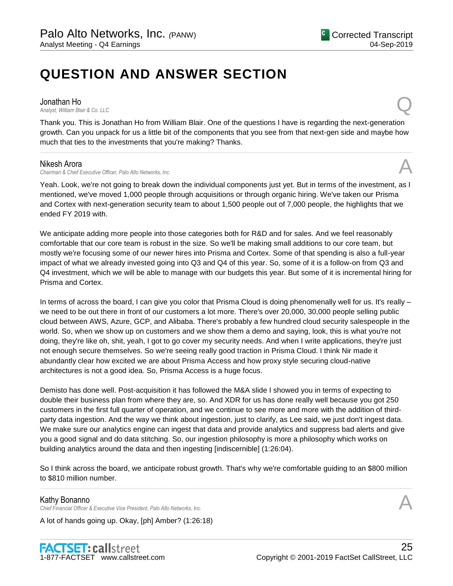# **QUESTION AND ANSWER SECTION**

Jonathan Ho<br>Analyst, William Blair & Co. LLC **Jonathan Ho**<br>Analyst, William Blair & Co. LLC

Thank you. This is Jonathan Ho from William Blair. One of the questions I have is regarding the next-generation growth. Can you unpack for us a little bit of the components that you see from that next-gen side and maybe how much that ties to the investments that you're making? Thanks.

......................................................................................................................................................................................................................................................

### Nikesh Arora

*Chairman & Chief Executive Officer, Palo Alto Networks, Inc.* A

Yeah. Look, we're not going to break down the individual components just yet. But in terms of the investment, as I mentioned, we've moved 1,000 people through acquisitions or through organic hiring. We've taken our Prisma and Cortex with next-generation security team to about 1,500 people out of 7,000 people, the highlights that we ended FY 2019 with.

We anticipate adding more people into those categories both for R&D and for sales. And we feel reasonably comfortable that our core team is robust in the size. So we'll be making small additions to our core team, but mostly we're focusing some of our newer hires into Prisma and Cortex. Some of that spending is also a full-year impact of what we already invested going into Q3 and Q4 of this year. So, some of it is a follow-on from Q3 and Q4 investment, which we will be able to manage with our budgets this year. But some of it is incremental hiring for Prisma and Cortex.

In terms of across the board, I can give you color that Prisma Cloud is doing phenomenally well for us. It's really – we need to be out there in front of our customers a lot more. There's over 20,000, 30,000 people selling public cloud between AWS, Azure, GCP, and Alibaba. There's probably a few hundred cloud security salespeople in the world. So, when we show up on customers and we show them a demo and saying, look, this is what you're not doing, they're like oh, shit, yeah, I got to go cover my security needs. And when I write applications, they're just not enough secure themselves. So we're seeing really good traction in Prisma Cloud. I think Nir made it abundantly clear how excited we are about Prisma Access and how proxy style securing cloud-native architectures is not a good idea. So, Prisma Access is a huge focus.

Demisto has done well. Post-acquisition it has followed the M&A slide I showed you in terms of expecting to double their business plan from where they are, so. And XDR for us has done really well because you got 250 customers in the first full quarter of operation, and we continue to see more and more with the addition of thirdparty data ingestion. And the way we think about ingestion, just to clarify, as Lee said, we just don't ingest data. We make sure our analytics engine can ingest that data and provide analytics and suppress bad alerts and give you a good signal and do data stitching. So, our ingestion philosophy is more a philosophy which works on building analytics around the data and then ingesting [indiscernible] (1:26:04).

So I think across the board, we anticipate robust growth. That's why we're comfortable guiding to an \$800 million to \$810 million number. ......................................................................................................................................................................................................................................................

### Kathy Bonanno

*Chief Financial Officer & Executive Vice President, Palo Alto Networks, Inc.* A

A lot of hands going up. Okay, [ph] Amber? (1:26:18)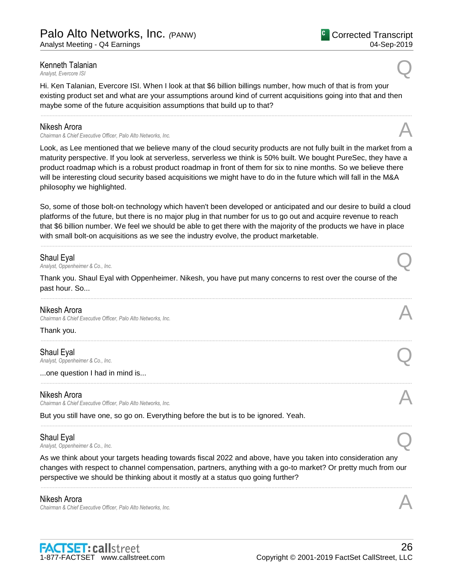# **Kenneth Talanian**<br>Analyst, Evercore ISI **Kenneth Talanian**<br>Analyst, Evercore ISI

Hi. Ken Talanian, Evercore ISI. When I look at that \$6 billion billings number, how much of that is from your existing product set and what are your assumptions around kind of current acquisitions going into that and then maybe some of the future acquisition assumptions that build up to that?

......................................................................................................................................................................................................................................................

### Nikesh Arora

*Chairman & Chief Executive Officer, Palo Alto Networks, Inc.* A

Look, as Lee mentioned that we believe many of the cloud security products are not fully built in the market from a maturity perspective. If you look at serverless, serverless we think is 50% built. We bought PureSec, they have a product roadmap which is a robust product roadmap in front of them for six to nine months. So we believe there will be interesting cloud security based acquisitions we might have to do in the future which will fall in the M&A philosophy we highlighted.

So, some of those bolt-on technology which haven't been developed or anticipated and our desire to build a cloud platforms of the future, but there is no major plug in that number for us to go out and acquire revenue to reach that \$6 billion number. We feel we should be able to get there with the majority of the products we have in place with small bolt-on acquisitions as we see the industry evolve, the product marketable.

......................................................................................................................................................................................................................................................

| Shaul Eyal<br>Analyst, Oppenheimer & Co., Inc.                                                                                                                                                                                                                                                                   |  |  |
|------------------------------------------------------------------------------------------------------------------------------------------------------------------------------------------------------------------------------------------------------------------------------------------------------------------|--|--|
| Thank you. Shaul Eyal with Oppenheimer. Nikesh, you have put many concerns to rest over the course of the<br>past hour. So                                                                                                                                                                                       |  |  |
| Nikesh Arora<br>Chairman & Chief Executive Officer, Palo Alto Networks, Inc.                                                                                                                                                                                                                                     |  |  |
| Thank you.                                                                                                                                                                                                                                                                                                       |  |  |
| Shaul Eyal<br>Analyst, Oppenheimer & Co., Inc.                                                                                                                                                                                                                                                                   |  |  |
| one question I had in mind is                                                                                                                                                                                                                                                                                    |  |  |
| Nikesh Arora<br>Chairman & Chief Executive Officer, Palo Alto Networks, Inc.                                                                                                                                                                                                                                     |  |  |
| But you still have one, so go on. Everything before the but is to be ignored. Yeah.                                                                                                                                                                                                                              |  |  |
| Shaul Eyal<br>Analyst, Oppenheimer & Co., Inc.                                                                                                                                                                                                                                                                   |  |  |
| As we think about your targets heading towards fiscal 2022 and above, have you taken into consideration any<br>changes with respect to channel compensation, partners, anything with a go-to market? Or pretty much from our<br>perspective we should be thinking about it mostly at a status quo going further? |  |  |
| Nikesh Arora                                                                                                                                                                                                                                                                                                     |  |  |

*Chairman & Chief Executive Officer, Palo Alto Networks, Inc.* A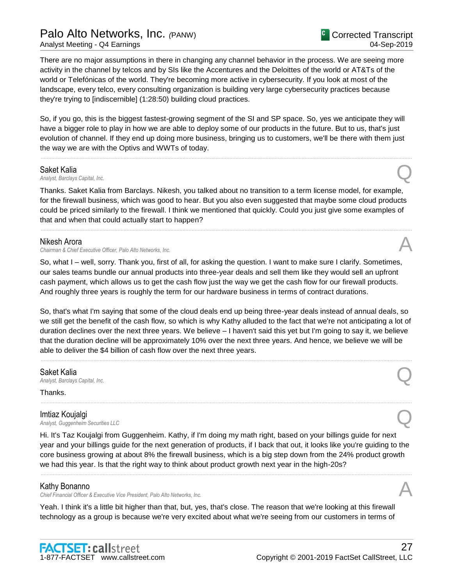# Palo Alto Networks, Inc. *(*PANW)

Analyst Meeting - Q4 Earnings

There are no major assumptions in there in changing any channel behavior in the process. We are seeing more activity in the channel by telcos and by SIs like the Accentures and the Deloittes of the world or AT&Ts of the world or Telefónicas of the world. They're becoming more active in cybersecurity. If you look at most of the landscape, every telco, every consulting organization is building very large cybersecurity practices because they're trying to [indiscernible] (1:28:50) building cloud practices.

So, if you go, this is the biggest fastest-growing segment of the SI and SP space. So, yes we anticipate they will have a bigger role to play in how we are able to deploy some of our products in the future. But to us, that's just evolution of channel. If they end up doing more business, bringing us to customers, we'll be there with them just the way we are with the Optivs and WWTs of today.

......................................................................................................................................................................................................................................................

**Saket Kalia**<br>Analyst, Barclays Capital, Inc. *Analyst, Barclays Capital, Inc.* Q

Thanks. Saket Kalia from Barclays. Nikesh, you talked about no transition to a term license model, for example, for the firewall business, which was good to hear. But you also even suggested that maybe some cloud products could be priced similarly to the firewall. I think we mentioned that quickly. Could you just give some examples of that and when that could actually start to happen?

......................................................................................................................................................................................................................................................

### Nikesh Arora

*Chairman & Chief Executive Officer, Palo Alto Networks, Inc.* A

So, what I – well, sorry. Thank you, first of all, for asking the question. I want to make sure I clarify. Sometimes, our sales teams bundle our annual products into three-year deals and sell them like they would sell an upfront cash payment, which allows us to get the cash flow just the way we get the cash flow for our firewall products. And roughly three years is roughly the term for our hardware business in terms of contract durations.

So, that's what I'm saying that some of the cloud deals end up being three-year deals instead of annual deals, so we still get the benefit of the cash flow, so which is why Kathy alluded to the fact that we're not anticipating a lot of duration declines over the next three years. We believe – I haven't said this yet but I'm going to say it, we believe that the duration decline will be approximately 10% over the next three years. And hence, we believe we will be able to deliver the \$4 billion of cash flow over the next three years.

......................................................................................................................................................................................................................................................

......................................................................................................................................................................................................................................................

Saket Kalia *Analyst, Barclays Capital, Inc.* Q

Thanks.

Imtiaz Koujalgi *Analyst, Guggenheim Securities LLC* Q

Hi. It's Taz Koujalgi from Guggenheim. Kathy, if I'm doing my math right, based on your billings guide for next year and your billings guide for the next generation of products, if I back that out, it looks like you're guiding to the core business growing at about 8% the firewall business, which is a big step down from the 24% product growth we had this year. Is that the right way to think about product growth next year in the high-20s?

......................................................................................................................................................................................................................................................

### Kathy Bonanno

*Chief Financial Officer & Executive Vice President, Palo Alto Networks, Inc.* A

Yeah. I think it's a little bit higher than that, but, yes, that's close. The reason that we're looking at this firewall technology as a group is because we're very excited about what we're seeing from our customers in terms of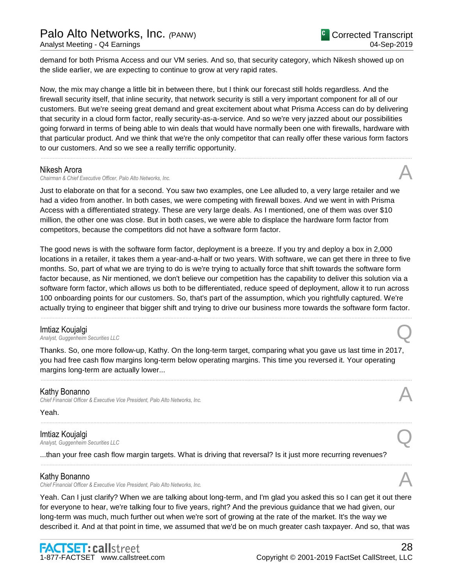demand for both Prisma Access and our VM series. And so, that security category, which Nikesh showed up on the slide earlier, we are expecting to continue to grow at very rapid rates.

Now, the mix may change a little bit in between there, but I think our forecast still holds regardless. And the firewall security itself, that inline security, that network security is still a very important component for all of our customers. But we're seeing great demand and great excitement about what Prisma Access can do by delivering that security in a cloud form factor, really security-as-a-service. And so we're very jazzed about our possibilities going forward in terms of being able to win deals that would have normally been one with firewalls, hardware with that particular product. And we think that we're the only competitor that can really offer these various form factors to our customers. And so we see a really terrific opportunity.

......................................................................................................................................................................................................................................................

### Nikesh Arora

**Chairman & Chief Executive Officer, Palo Alto Networks, Inc.** 

Just to elaborate on that for a second. You saw two examples, one Lee alluded to, a very large retailer and we had a video from another. In both cases, we were competing with firewall boxes. And we went in with Prisma Access with a differentiated strategy. These are very large deals. As I mentioned, one of them was over \$10 million, the other one was close. But in both cases, we were able to displace the hardware form factor from competitors, because the competitors did not have a software form factor.

The good news is with the software form factor, deployment is a breeze. If you try and deploy a box in 2,000 locations in a retailer, it takes them a year-and-a-half or two years. With software, we can get there in three to five months. So, part of what we are trying to do is we're trying to actually force that shift towards the software form factor because, as Nir mentioned, we don't believe our competition has the capability to deliver this solution via a software form factor, which allows us both to be differentiated, reduce speed of deployment, allow it to run across 100 onboarding points for our customers. So, that's part of the assumption, which you rightfully captured. We're actually trying to engineer that bigger shift and trying to drive our business more towards the software form factor.

......................................................................................................................................................................................................................................................

**Imtiaz Koujalgi**<br>Analyst, Guggenheim Securities LLC *Analyst, Guggenheim Securities LLC* Q

Thanks. So, one more follow-up, Kathy. On the long-term target, comparing what you gave us last time in 2017, you had free cash flow margins long-term below operating margins. This time you reversed it. Your operating margins long-term are actually lower...

......................................................................................................................................................................................................................................................

......................................................................................................................................................................................................................................................

......................................................................................................................................................................................................................................................

### Kathy Bonanno

*Chief Financial Officer & Executive Vice President, Palo Alto Networks, Inc.* A

Yeah.

# Imtiaz Koujalgi

*Analyst, Guggenheim Securities LLC* Q

...than your free cash flow margin targets. What is driving that reversal? Is it just more recurring revenues?

### Kathy Bonanno

*Chief Financial Officer & Executive Vice President, Palo Alto Networks, Inc.* A

Yeah. Can I just clarify? When we are talking about long-term, and I'm glad you asked this so I can get it out there for everyone to hear, we're talking four to five years, right? And the previous guidance that we had given, our long-term was much, much further out when we're sort of growing at the rate of the market. It's the way we described it. And at that point in time, we assumed that we'd be on much greater cash taxpayer. And so, that was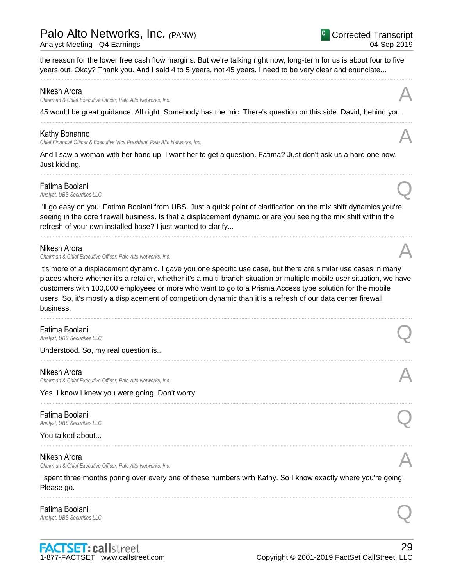# Palo Alto Networks, Inc. *(*PANW)

Analyst Meeting - Q4 Earnings

Corrected Transcript 04-Sep-2019

the reason for the lower free cash flow margins. But we're talking right now, long-term for us is about four to five years out. Okay? Thank you. And I said 4 to 5 years, not 45 years. I need to be very clear and enunciate...

......................................................................................................................................................................................................................................................

### Nikesh Arora

*Chairman & Chief Executive Officer, Palo Alto Networks, Inc.* A

45 would be great guidance. All right. Somebody has the mic. There's question on this side. David, behind you. ......................................................................................................................................................................................................................................................

### Kathy Bonanno

*Chief Financial Officer & Executive Vice President, Palo Alto Networks, Inc.* A

And I saw a woman with her hand up, I want her to get a question. Fatima? Just don't ask us a hard one now. Just kidding.

......................................................................................................................................................................................................................................................

**Fatima Boolani**<br>Analyst, UBS Securities LLC **Fatima Boolani**<br>Analyst, UBS Securities LLC

I'll go easy on you. Fatima Boolani from UBS. Just a quick point of clarification on the mix shift dynamics you're seeing in the core firewall business. Is that a displacement dynamic or are you seeing the mix shift within the refresh of your own installed base? I just wanted to clarify...

......................................................................................................................................................................................................................................................

### Nikesh Arora

*Chairman & Chief Executive Officer, Palo Alto Networks, Inc.* A

It's more of a displacement dynamic. I gave you one specific use case, but there are similar use cases in many places where whether it's a retailer, whether it's a multi-branch situation or multiple mobile user situation, we have customers with 100,000 employees or more who want to go to a Prisma Access type solution for the mobile users. So, it's mostly a displacement of competition dynamic than it is a refresh of our data center firewall business.

......................................................................................................................................................................................................................................................

......................................................................................................................................................................................................................................................

......................................................................................................................................................................................................................................................

......................................................................................................................................................................................................................................................

**Fatima Boolani**<br>Analyst, UBS Securities LLC **Fatima Boolani**<br>Analyst, UBS Securities LLC

Understood. So, my real question is...

### Nikesh Arora

*Chairman & Chief Executive Officer, Palo Alto Networks, Inc.* A

Yes. I know I knew you were going. Don't worry.

### Fatima Boolani

**Fatima Boolani**<br>Analyst, UBS Securities LLC

You talked about...

### Nikesh Arora

*Chairman & Chief Executive Officer, Palo Alto Networks, Inc.* A

I spent three months poring over every one of these numbers with Kathy. So I know exactly where you're going. Please go.

......................................................................................................................................................................................................................................................

# Fatima Boolani **Fatima Boolani**<br>Analyst, UBS Securities LLC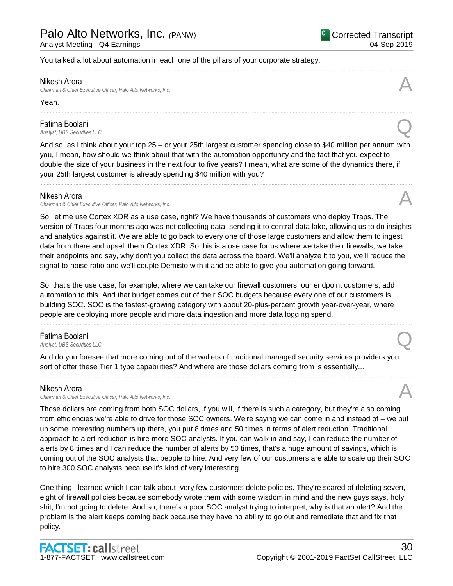You talked a lot about automation in each one of the pillars of your corporate strategy.

### Nikesh Arora

*Chairman & Chief Executive Officer, Palo Alto Networks, Inc.* A

Yeah.

### Fatima Boolani

**Fatima Boolani**<br>Analyst, UBS Securities LLC

And so, as I think about your top 25 – or your 25th largest customer spending close to \$40 million per annum with you, I mean, how should we think about that with the automation opportunity and the fact that you expect to double the size of your business in the next four to five years? I mean, what are some of the dynamics there, if your 25th largest customer is already spending \$40 million with you?

......................................................................................................................................................................................................................................................

......................................................................................................................................................................................................................................................

......................................................................................................................................................................................................................................................

### Nikesh Arora

*Chairman & Chief Executive Officer, Palo Alto Networks, Inc.* A

So, let me use Cortex XDR as a use case, right? We have thousands of customers who deploy Traps. The version of Traps four months ago was not collecting data, sending it to central data lake, allowing us to do insights and analytics against it. We are able to go back to every one of those large customers and allow them to ingest data from there and upsell them Cortex XDR. So this is a use case for us where we take their firewalls, we take their endpoints and say, why don't you collect the data across the board. We'll analyze it to you, we'll reduce the signal-to-noise ratio and we'll couple Demisto with it and be able to give you automation going forward.

So, that's the use case, for example, where we can take our firewall customers, our endpoint customers, add automation to this. And that budget comes out of their SOC budgets because every one of our customers is building SOC. SOC is the fastest-growing category with about 20-plus-percent growth year-over-year, where people are deploying more people and more data ingestion and more data logging spend.

......................................................................................................................................................................................................................................................

# Fatima Boolani **Fatima Boolani**<br>Analyst, UBS Securities LLC

And do you foresee that more coming out of the wallets of traditional managed security services providers you sort of offer these Tier 1 type capabilities? And where are those dollars coming from is essentially...

......................................................................................................................................................................................................................................................

### Nikesh Arora

*Chairman & Chief Executive Officer, Palo Alto Networks, Inc.* A

Those dollars are coming from both SOC dollars, if you will, if there is such a category, but they're also coming from efficiencies we're able to drive for those SOC owners. We're saying we can come in and instead of – we put up some interesting numbers up there, you put 8 times and 50 times in terms of alert reduction. Traditional approach to alert reduction is hire more SOC analysts. If you can walk in and say, I can reduce the number of alerts by 8 times and I can reduce the number of alerts by 50 times, that's a huge amount of savings, which is coming out of the SOC analysts that people to hire. And very few of our customers are able to scale up their SOC to hire 300 SOC analysts because it's kind of very interesting.

One thing I learned which I can talk about, very few customers delete policies. They're scared of deleting seven, eight of firewall policies because somebody wrote them with some wisdom in mind and the new guys says, holy shit, I'm not going to delete. And so, there's a poor SOC analyst trying to interpret, why is that an alert? And the problem is the alert keeps coming back because they have no ability to go out and remediate that and fix that policy.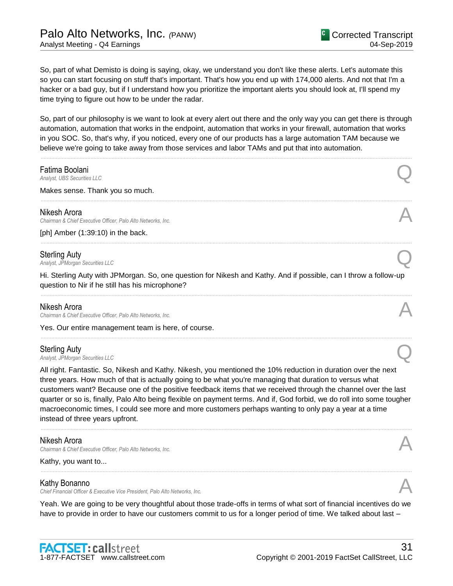So, part of what Demisto is doing is saying, okay, we understand you don't like these alerts. Let's automate this so you can start focusing on stuff that's important. That's how you end up with 174,000 alerts. And not that I'm a hacker or a bad guy, but if I understand how you prioritize the important alerts you should look at, I'll spend my time trying to figure out how to be under the radar.

So, part of our philosophy is we want to look at every alert out there and the only way you can get there is through automation, automation that works in the endpoint, automation that works in your firewall, automation that works in you SOC. So, that's why, if you noticed, every one of our products has a large automation TAM because we believe we're going to take away from those services and labor TAMs and put that into automation.

# ...................................................................................................................................................................................................................................................... **Fatima Boolani**<br>Analyst, UBS Securities LLC **Fatima Boolani**<br>Analyst, UBS Securities LLC Makes sense. Thank you so much. ...................................................................................................................................................................................................................................................... Nikesh Arora *Chairman & Chief Executive Officer, Palo Alto Networks, Inc.* A [ph] Amber (1:39:10) in the back. ...................................................................................................................................................................................................................................................... Sterling Auty **Sterling Auty**<br>Analyst, JPMorgan Securities LLC Hi. Sterling Auty with JPMorgan. So, one question for Nikesh and Kathy. And if possible, can I throw a follow-up question to Nir if he still has his microphone? ...................................................................................................................................................................................................................................................... Nikesh Arora *Chairman & Chief Executive Officer, Palo Alto Networks, Inc.* A Yes. Our entire management team is here, of course. ...................................................................................................................................................................................................................................................... Sterling Auty **Sterling Auty**<br>Analyst, JPMorgan Securities LLC All right. Fantastic. So, Nikesh and Kathy. Nikesh, you mentioned the 10% reduction in duration over the next

three years. How much of that is actually going to be what you're managing that duration to versus what customers want? Because one of the positive feedback items that we received through the channel over the last quarter or so is, finally, Palo Alto being flexible on payment terms. And if, God forbid, we do roll into some tougher macroeconomic times, I could see more and more customers perhaps wanting to only pay a year at a time instead of three years upfront.

......................................................................................................................................................................................................................................................

### Nikesh Arora

*Chairman & Chief Executive Officer, Palo Alto Networks, Inc.* A

Kathy, you want to...

### Kathy Bonanno

*Chief Financial Officer & Executive Vice President, Palo Alto Networks, Inc.* A

Yeah. We are going to be very thoughtful about those trade-offs in terms of what sort of financial incentives do we have to provide in order to have our customers commit to us for a longer period of time. We talked about last –

......................................................................................................................................................................................................................................................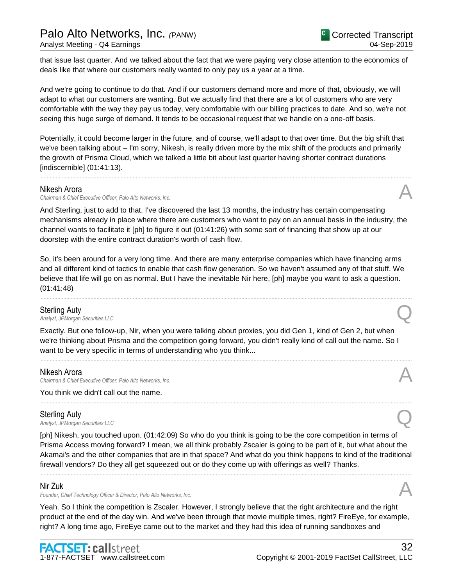that issue last quarter. And we talked about the fact that we were paying very close attention to the economics of deals like that where our customers really wanted to only pay us a year at a time.

And we're going to continue to do that. And if our customers demand more and more of that, obviously, we will adapt to what our customers are wanting. But we actually find that there are a lot of customers who are very comfortable with the way they pay us today, very comfortable with our billing practices to date. And so, we're not seeing this huge surge of demand. It tends to be occasional request that we handle on a one-off basis.

Potentially, it could become larger in the future, and of course, we'll adapt to that over time. But the big shift that we've been talking about – I'm sorry, Nikesh, is really driven more by the mix shift of the products and primarily the growth of Prisma Cloud, which we talked a little bit about last quarter having shorter contract durations [indiscernible] (01:41:13).

......................................................................................................................................................................................................................................................

### Nikesh Arora

*Chairman & Chief Executive Officer, Palo Alto Networks, Inc.* A

And Sterling, just to add to that. I've discovered the last 13 months, the industry has certain compensating mechanisms already in place where there are customers who want to pay on an annual basis in the industry, the channel wants to facilitate it [ph] to figure it out (01:41:26) with some sort of financing that show up at our doorstep with the entire contract duration's worth of cash flow.

So, it's been around for a very long time. And there are many enterprise companies which have financing arms and all different kind of tactics to enable that cash flow generation. So we haven't assumed any of that stuff. We believe that life will go on as normal. But I have the inevitable Nir here, [ph] maybe you want to ask a question. (01:41:48)

......................................................................................................................................................................................................................................................

**Sterling Auty**<br>Analyst, JPMorgan Securities LLC **Sterling Auty**<br>Analyst, JPMorgan Securities LLC

Exactly. But one follow-up, Nir, when you were talking about proxies, you did Gen 1, kind of Gen 2, but when we're thinking about Prisma and the competition going forward, you didn't really kind of call out the name. So I want to be very specific in terms of understanding who you think...

......................................................................................................................................................................................................................................................

......................................................................................................................................................................................................................................................

### Nikesh Arora

*Chairman & Chief Executive Officer, Palo Alto Networks, Inc.* A

You think we didn't call out the name.

### Sterling Auty

**Sterling Auty**<br>Analyst, JPMorgan Securities LLC

[ph] Nikesh, you touched upon. (01:42:09) So who do you think is going to be the core competition in terms of Prisma Access moving forward? I mean, we all think probably Zscaler is going to be part of it, but what about the Akamai's and the other companies that are in that space? And what do you think happens to kind of the traditional firewall vendors? Do they all get squeezed out or do they come up with offerings as well? Thanks.

......................................................................................................................................................................................................................................................

### Nir Zuk

Founder, Chief Technology Officer & Director, Palo Alto Networks, Inc.

Yeah. So I think the competition is Zscaler. However, I strongly believe that the right architecture and the right product at the end of the day win. And we've been through that movie multiple times, right? FireEye, for example, right? A long time ago, FireEye came out to the market and they had this idea of running sandboxes and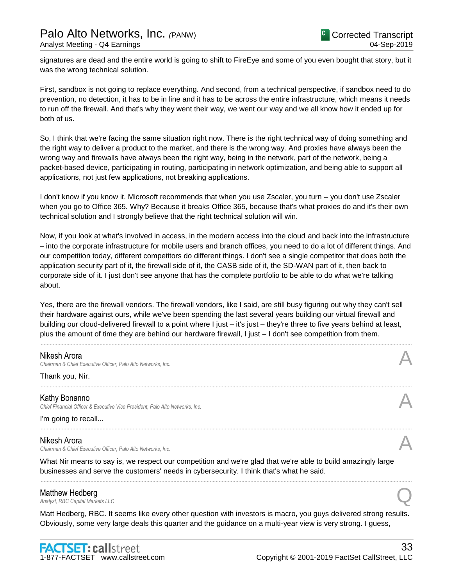signatures are dead and the entire world is going to shift to FireEye and some of you even bought that story, but it was the wrong technical solution.

First, sandbox is not going to replace everything. And second, from a technical perspective, if sandbox need to do prevention, no detection, it has to be in line and it has to be across the entire infrastructure, which means it needs to run off the firewall. And that's why they went their way, we went our way and we all know how it ended up for both of us.

So, I think that we're facing the same situation right now. There is the right technical way of doing something and the right way to deliver a product to the market, and there is the wrong way. And proxies have always been the wrong way and firewalls have always been the right way, being in the network, part of the network, being a packet-based device, participating in routing, participating in network optimization, and being able to support all applications, not just few applications, not breaking applications.

I don't know if you know it. Microsoft recommends that when you use Zscaler, you turn – you don't use Zscaler when you go to Office 365. Why? Because it breaks Office 365, because that's what proxies do and it's their own technical solution and I strongly believe that the right technical solution will win.

Now, if you look at what's involved in access, in the modern access into the cloud and back into the infrastructure – into the corporate infrastructure for mobile users and branch offices, you need to do a lot of different things. And our competition today, different competitors do different things. I don't see a single competitor that does both the application security part of it, the firewall side of it, the CASB side of it, the SD-WAN part of it, then back to corporate side of it. I just don't see anyone that has the complete portfolio to be able to do what we're talking about.

Yes, there are the firewall vendors. The firewall vendors, like I said, are still busy figuring out why they can't sell their hardware against ours, while we've been spending the last several years building our virtual firewall and building our cloud-delivered firewall to a point where I just – it's just – they're three to five years behind at least, plus the amount of time they are behind our hardware firewall, I just – I don't see competition from them.

......................................................................................................................................................................................................................................................

......................................................................................................................................................................................................................................................

......................................................................................................................................................................................................................................................

### Nikesh Arora

*Chairman & Chief Executive Officer, Palo Alto Networks, Inc.* A

Thank you, Nir.

Kathy Bonanno *Chief Financial Officer & Executive Vice President, Palo Alto Networks, Inc.* A

I'm going to recall...

# Nikesh Arora

*Chairman & Chief Executive Officer, Palo Alto Networks, Inc.* A

What Nir means to say is, we respect our competition and we're glad that we're able to build amazingly large businesses and serve the customers' needs in cybersecurity. I think that's what he said.

### Matthew Hedberg

**Matthew Hedberg**<br>Analyst, RBC Capital Markets LLC

Matt Hedberg, RBC. It seems like every other question with investors is macro, you guys delivered strong results. Obviously, some very large deals this quarter and the guidance on a multi-year view is very strong. I guess,

......................................................................................................................................................................................................................................................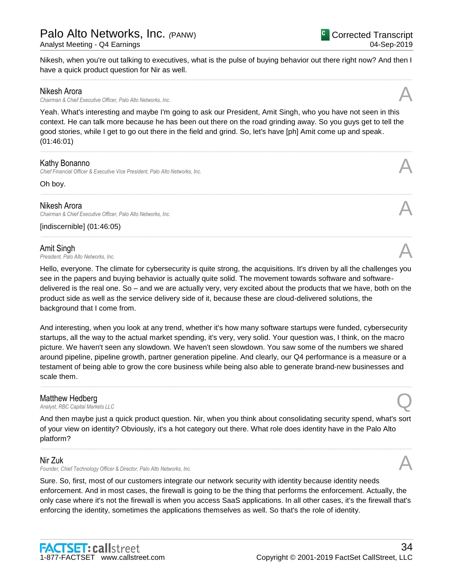**Matthew Hedberg**<br>Analyst, RBC Capital Markets LLC

And then maybe just a quick product question. Nir, when you think about consolidating security spend, what's sort platform?

......................................................................................................................................................................................................................................................

# Nir Zuk

Founder, Chief Technology Officer & Director, Palo Alto Networks, Inc.

Sure. So, first, most of our customers integrate our network security with identity because identity needs enforcement. And in most cases, the firewall is going to be the thing that performs the enforcement. Actually, the only case where it's not the firewall is when you access SaaS applications. In all other cases, it's the firewall that's enforcing the identity, sometimes the applications themselves as well. So that's the role of identity.

# Kathy Bonanno

*Chief Financial Officer & Executive Vice President, Palo Alto Networks, Inc.* A

Oh boy.

## Nikesh Arora

*Chairman & Chief Executive Officer, Palo Alto Networks, Inc.* A

[indiscernible] (01:46:05)

**Amit Singh**<br>President, Palo Alto Networks, Inc. *President, Palo Alto Networks, Inc.* A

Hello, everyone. The climate for cybersecurity is quite strong, the acquisitions. It's driven by all the challenges you see in the papers and buying behavior is actually quite solid. The movement towards software and softwaredelivered is the real one. So – and we are actually very, very excited about the products that we have, both on the product side as well as the service delivery side of it, because these are cloud-delivered solutions, the background that I come from.

......................................................................................................................................................................................................................................................

......................................................................................................................................................................................................................................................

And interesting, when you look at any trend, whether it's how many software startups were funded, cybersecurity startups, all the way to the actual market spending, it's very, very solid. Your question was, I think, on the macro picture. We haven't seen any slowdown. We haven't seen slowdown. You saw some of the numbers we shared around pipeline, pipeline growth, partner generation pipeline. And clearly, our Q4 performance is a measure or a testament of being able to grow the core business while being also able to generate brand-new businesses and

**Matthew Hedberg**<br>Analyst, RBC Capital Markets LLC of your view on identity? Obviously, it's a hot category out there. What role does identity have in the Palo Alto

Palo Alto Networks, Inc. *(*PANW)

have a quick product question for Nir as well. ...................................................................................................................................................................................................................................................... *Chairman & Chief Executive Officer, Palo Alto Networks, Inc.* A

Nikesh, when you're out talking to executives, what is the pulse of buying behavior out there right now? And then I

# Nikesh Arora

Yeah. What's interesting and maybe I'm going to ask our President, Amit Singh, who you have not seen in this context. He can talk more because he has been out there on the road grinding away. So you guys get to tell the good stories, while I get to go out there in the field and grind. So, let's have [ph] Amit come up and speak.

1-877-FACTSET www.callstreet.com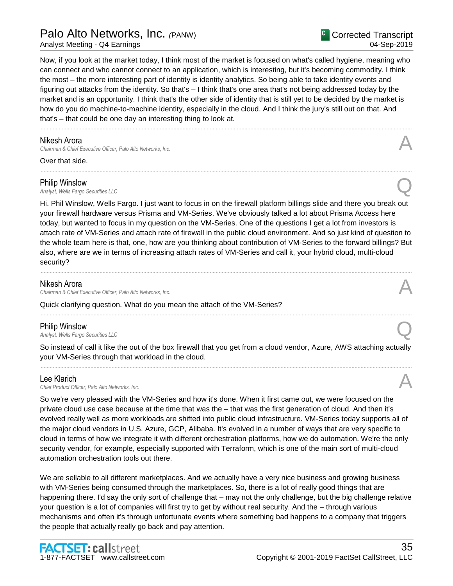# Palo Alto Networks, Inc. *(*PANW)

Analyst Meeting - Q4 Earnings

Now, if you look at the market today, I think most of the market is focused on what's called hygiene, meaning who can connect and who cannot connect to an application, which is interesting, but it's becoming commodity. I think the most – the more interesting part of identity is identity analytics. So being able to take identity events and figuring out attacks from the identity. So that's – I think that's one area that's not being addressed today by the market and is an opportunity. I think that's the other side of identity that is still yet to be decided by the market is how do you do machine-to-machine identity, especially in the cloud. And I think the jury's still out on that. And that's – that could be one day an interesting thing to look at.

......................................................................................................................................................................................................................................................

......................................................................................................................................................................................................................................................

## Nikesh Arora

**Chairman & Chief Executive Officer, Palo Alto Networks, Inc.** 

Over that side.

### Philip Winslow

*Analyst, Wells Fargo Securities LLC* Q

Hi. Phil Winslow, Wells Fargo. I just want to focus in on the firewall platform billings slide and there you break out your firewall hardware versus Prisma and VM-Series. We've obviously talked a lot about Prisma Access here today, but wanted to focus in my question on the VM-Series. One of the questions I get a lot from investors is attach rate of VM-Series and attach rate of firewall in the public cloud environment. And so just kind of question to the whole team here is that, one, how are you thinking about contribution of VM-Series to the forward billings? But also, where are we in terms of increasing attach rates of VM-Series and call it, your hybrid cloud, multi-cloud security?

......................................................................................................................................................................................................................................................

### Nikesh Arora

*Chairman & Chief Executive Officer, Palo Alto Networks, Inc.* A

Quick clarifying question. What do you mean the attach of the VM-Series?

**Philip Winslow**<br>Analyst, Wells Fargo Securities LLC *Analyst, Wells Fargo Securities LLC* Q

So instead of call it like the out of the box firewall that you get from a cloud vendor, Azure, AWS attaching actually your VM-Series through that workload in the cloud. ......................................................................................................................................................................................................................................................

......................................................................................................................................................................................................................................................

Lee Klarich<br>Chief Product Officer, Palo Alto Networks, Inc. Lee Klarich<br>Chief Product Officer, Palo Alto Networks, Inc.

So we're very pleased with the VM-Series and how it's done. When it first came out, we were focused on the private cloud use case because at the time that was the – that was the first generation of cloud. And then it's evolved really well as more workloads are shifted into public cloud infrastructure. VM-Series today supports all of the major cloud vendors in U.S. Azure, GCP, Alibaba. It's evolved in a number of ways that are very specific to cloud in terms of how we integrate it with different orchestration platforms, how we do automation. We're the only security vendor, for example, especially supported with Terraform, which is one of the main sort of multi-cloud automation orchestration tools out there.

We are sellable to all different marketplaces. And we actually have a very nice business and growing business with VM-Series being consumed through the marketplaces. So, there is a lot of really good things that are happening there. I'd say the only sort of challenge that – may not the only challenge, but the big challenge relative your question is a lot of companies will first try to get by without real security. And the – through various mechanisms and often it's through unfortunate events where something bad happens to a company that triggers the people that actually really go back and pay attention.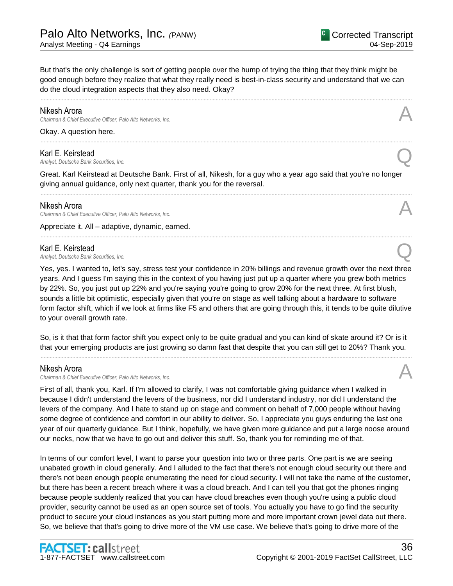But that's the only challenge is sort of getting people over the hump of trying the thing that they think might be good enough before they realize that what they really need is best-in-class security and understand that we can do the cloud integration aspects that they also need. Okay?

......................................................................................................................................................................................................................................................

......................................................................................................................................................................................................................................................

### Nikesh Arora

*Chairman & Chief Executive Officer, Palo Alto Networks, Inc.* A

Okay. A question here.

## Karl E. Keirstead

*Analyst, Deutsche Bank Securities, Inc.* Q

Great. Karl Keirstead at Deutsche Bank. First of all, Nikesh, for a guy who a year ago said that you're no longer giving annual guidance, only next quarter, thank you for the reversal.

......................................................................................................................................................................................................................................................

......................................................................................................................................................................................................................................................

### Nikesh Arora

*Chairman & Chief Executive Officer, Palo Alto Networks, Inc.* A

Appreciate it. All – adaptive, dynamic, earned.

**Karl E. Keirstead**<br>Analyst, Deutsche Bank Securities, Inc. *Analyst, Deutsche Bank Securities, Inc.* Q

Yes, yes. I wanted to, let's say, stress test your confidence in 20% billings and revenue growth over the next three years. And I guess I'm saying this in the context of you having just put up a quarter where you grew both metrics by 22%. So, you just put up 22% and you're saying you're going to grow 20% for the next three. At first blush, sounds a little bit optimistic, especially given that you're on stage as well talking about a hardware to software form factor shift, which if we look at firms like F5 and others that are going through this, it tends to be quite dilutive to your overall growth rate.

So, is it that that form factor shift you expect only to be quite gradual and you can kind of skate around it? Or is it that your emerging products are just growing so damn fast that despite that you can still get to 20%? Thank you. ......................................................................................................................................................................................................................................................

### Nikesh Arora

**Chairman & Chief Executive Officer, Palo Alto Networks, Inc.** 

First of all, thank you, Karl. If I'm allowed to clarify, I was not comfortable giving guidance when I walked in because I didn't understand the levers of the business, nor did I understand industry, nor did I understand the levers of the company. And I hate to stand up on stage and comment on behalf of 7,000 people without having some degree of confidence and comfort in our ability to deliver. So, I appreciate you guys enduring the last one year of our quarterly guidance. But I think, hopefully, we have given more guidance and put a large noose around our necks, now that we have to go out and deliver this stuff. So, thank you for reminding me of that.

In terms of our comfort level, I want to parse your question into two or three parts. One part is we are seeing unabated growth in cloud generally. And I alluded to the fact that there's not enough cloud security out there and there's not been enough people enumerating the need for cloud security. I will not take the name of the customer, but there has been a recent breach where it was a cloud breach. And I can tell you that got the phones ringing because people suddenly realized that you can have cloud breaches even though you're using a public cloud provider, security cannot be used as an open source set of tools. You actually you have to go find the security product to secure your cloud instances as you start putting more and more important crown jewel data out there. So, we believe that that's going to drive more of the VM use case. We believe that's going to drive more of the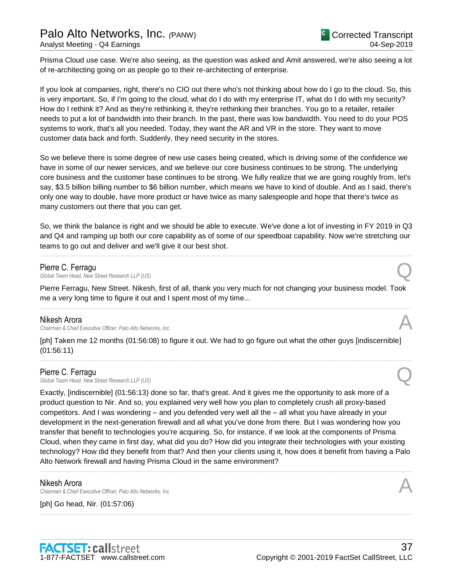Prisma Cloud use case. We're also seeing, as the question was asked and Amit answered, we're also seeing a lot of re-architecting going on as people go to their re-architecting of enterprise.

If you look at companies, right, there's no CIO out there who's not thinking about how do I go to the cloud. So, this is very important. So, if I'm going to the cloud, what do I do with my enterprise IT, what do I do with my security? How do I rethink it? And as they're rethinking it, they're rethinking their branches. You go to a retailer, retailer needs to put a lot of bandwidth into their branch. In the past, there was low bandwidth. You need to do your POS systems to work, that's all you needed. Today, they want the AR and VR in the store. They want to move customer data back and forth. Suddenly, they need security in the stores.

So we believe there is some degree of new use cases being created, which is driving some of the confidence we have in some of our newer services, and we believe our core business continues to be strong. The underlying core business and the customer base continues to be strong. We fully realize that we are going roughly from, let's say, \$3.5 billion billing number to \$6 billion number, which means we have to kind of double. And as I said, there's only one way to double, have more product or have twice as many salespeople and hope that there's twice as many customers out there that you can get.

So, we think the balance is right and we should be able to execute. We've done a lot of investing in FY 2019 in Q3 and Q4 and ramping up both our core capability as of some of our speedboat capability. Now we're stretching our teams to go out and deliver and we'll give it our best shot.

......................................................................................................................................................................................................................................................

Pierre C. Ferragu<br>Global Team Head, New Street Research LLP (US) **Pierre C. Ferragu<br>Global Team Head, New Street Research LLP (US) Quarter Controllery and Controllery Controllery Controllery Controllery Controllery Controllery Controllery Controllery Controllery Controllery Controller** 

Pierre Ferragu, New Street. Nikesh, first of all, thank you very much for not changing your business model. Took me a very long time to figure it out and I spent most of my time... ......................................................................................................................................................................................................................................................

### Nikesh Arora

*Chairman & Chief Executive Officer, Palo Alto Networks, Inc.* A

[ph] Taken me 12 months (01:56:08) to figure it out. We had to go figure out what the other guys [indiscernible] (01:56:11)

......................................................................................................................................................................................................................................................

### Pierre C. Ferragu

**Pierre C. Ferragu<br>Global Team Head, New Street Research LLP (US) Quarter Controllery and Controllery Controllery Controllery Controllery Controllery Controllery Controllery Controllery Controllery Controllery Controller** 

Exactly, [indiscernible] (01:56:13) done so far, that's great. And it gives me the opportunity to ask more of a product question to Nir. And so, you explained very well how you plan to completely crush all proxy-based competitors. And I was wondering – and you defended very well all the – all what you have already in your development in the next-generation firewall and all what you've done from there. But I was wondering how you transfer that benefit to technologies you're acquiring. So, for instance, if we look at the components of Prisma Cloud, when they came in first day, what did you do? How did you integrate their technologies with your existing technology? How did they benefit from that? And then your clients using it, how does it benefit from having a Palo Alto Network firewall and having Prisma Cloud in the same environment?

......................................................................................................................................................................................................................................................

......................................................................................................................................................................................................................................................

### Nikesh Arora

*Chairman & Chief Executive Officer, Palo Alto Networks, Inc.* A

[ph] Go head, Nir. (01:57:06)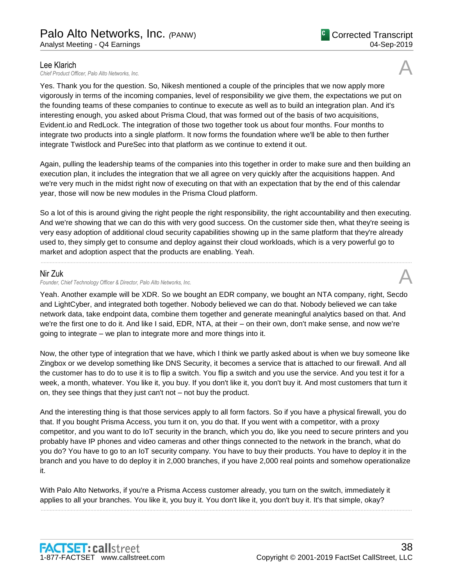Lee Klarich<br>Chief Product Officer. Palo Alto Networks. Inc. Lee Klarich<br>Chief Product Officer, Palo Alto Networks, Inc.

Yes. Thank you for the question. So, Nikesh mentioned a couple of the principles that we now apply more vigorously in terms of the incoming companies, level of responsibility we give them, the expectations we put on the founding teams of these companies to continue to execute as well as to build an integration plan. And it's interesting enough, you asked about Prisma Cloud, that was formed out of the basis of two acquisitions, Evident.io and RedLock. The integration of those two together took us about four months. Four months to integrate two products into a single platform. It now forms the foundation where we'll be able to then further integrate Twistlock and PureSec into that platform as we continue to extend it out.

Again, pulling the leadership teams of the companies into this together in order to make sure and then building an execution plan, it includes the integration that we all agree on very quickly after the acquisitions happen. And we're very much in the midst right now of executing on that with an expectation that by the end of this calendar year, those will now be new modules in the Prisma Cloud platform.

So a lot of this is around giving the right people the right responsibility, the right accountability and then executing. And we're showing that we can do this with very good success. On the customer side then, what they're seeing is very easy adoption of additional cloud security capabilities showing up in the same platform that they're already used to, they simply get to consume and deploy against their cloud workloads, which is a very powerful go to market and adoption aspect that the products are enabling. Yeah.

......................................................................................................................................................................................................................................................

### Nir Zuk

*Founder, Chief Technology Officer & Director, Palo Alto Networks, Inc.* A

Yeah. Another example will be XDR. So we bought an EDR company, we bought an NTA company, right, Secdo and LightCyber, and integrated both together. Nobody believed we can do that. Nobody believed we can take network data, take endpoint data, combine them together and generate meaningful analytics based on that. And we're the first one to do it. And like I said, EDR, NTA, at their – on their own, don't make sense, and now we're going to integrate – we plan to integrate more and more things into it.

Now, the other type of integration that we have, which I think we partly asked about is when we buy someone like Zingbox or we develop something like DNS Security, it becomes a service that is attached to our firewall. And all the customer has to do to use it is to flip a switch. You flip a switch and you use the service. And you test it for a week, a month, whatever. You like it, you buy. If you don't like it, you don't buy it. And most customers that turn it on, they see things that they just can't not – not buy the product.

And the interesting thing is that those services apply to all form factors. So if you have a physical firewall, you do that. If you bought Prisma Access, you turn it on, you do that. If you went with a competitor, with a proxy competitor, and you want to do IoT security in the branch, which you do, like you need to secure printers and you probably have IP phones and video cameras and other things connected to the network in the branch, what do you do? You have to go to an IoT security company. You have to buy their products. You have to deploy it in the branch and you have to do deploy it in 2,000 branches, if you have 2,000 real points and somehow operationalize it.

With Palo Alto Networks, if you're a Prisma Access customer already, you turn on the switch, immediately it applies to all your branches. You like it, you buy it. You don't like it, you don't buy it. It's that simple, okay?

......................................................................................................................................................................................................................................................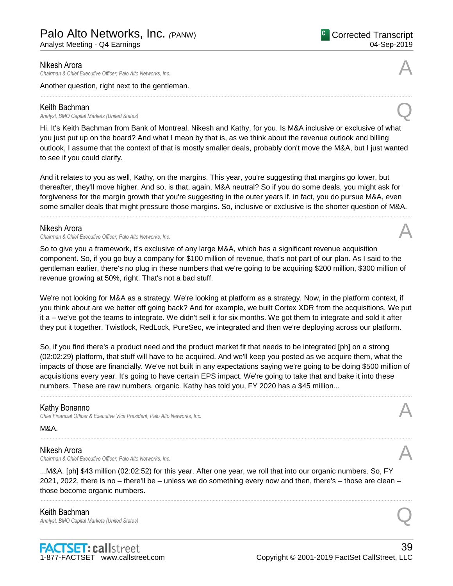### Nikesh Arora

*Chairman & Chief Executive Officer, Palo Alto Networks, Inc.* A

Another question, right next to the gentleman.

### Keith Bachman

*Analyst, BMO Capital Markets (United States)* Q

Hi. It's Keith Bachman from Bank of Montreal. Nikesh and Kathy, for you. Is M&A inclusive or exclusive of what you just put up on the board? And what I mean by that is, as we think about the revenue outlook and billing outlook, I assume that the context of that is mostly smaller deals, probably don't move the M&A, but I just wanted to see if you could clarify.

And it relates to you as well, Kathy, on the margins. This year, you're suggesting that margins go lower, but thereafter, they'll move higher. And so, is that, again, M&A neutral? So if you do some deals, you might ask for forgiveness for the margin growth that you're suggesting in the outer years if, in fact, you do pursue M&A, even some smaller deals that might pressure those margins. So, inclusive or exclusive is the shorter question of M&A.

......................................................................................................................................................................................................................................................

### Nikesh Arora

*Chairman & Chief Executive Officer, Palo Alto Networks, Inc.* A

So to give you a framework, it's exclusive of any large M&A, which has a significant revenue acquisition component. So, if you go buy a company for \$100 million of revenue, that's not part of our plan. As I said to the gentleman earlier, there's no plug in these numbers that we're going to be acquiring \$200 million, \$300 million of revenue growing at 50%, right. That's not a bad stuff.

We're not looking for M&A as a strategy. We're looking at platform as a strategy. Now, in the platform context, if you think about are we better off going back? And for example, we built Cortex XDR from the acquisitions. We put it a – we've got the teams to integrate. We didn't sell it for six months. We got them to integrate and sold it after they put it together. Twistlock, RedLock, PureSec, we integrated and then we're deploying across our platform.

So, if you find there's a product need and the product market fit that needs to be integrated [ph] on a strong (02:02:29) platform, that stuff will have to be acquired. And we'll keep you posted as we acquire them, what the impacts of those are financially. We've not built in any expectations saying we're going to be doing \$500 million of acquisitions every year. It's going to have certain EPS impact. We're going to take that and bake it into these numbers. These are raw numbers, organic. Kathy has told you, FY 2020 has a \$45 million...

......................................................................................................................................................................................................................................................

......................................................................................................................................................................................................................................................

### Kathy Bonanno

*Chief Financial Officer & Executive Vice President, Palo Alto Networks, Inc.* A

### M&A.

### Nikesh Arora

*Chairman & Chief Executive Officer, Palo Alto Networks, Inc.* A

...M&A. [ph] \$43 million (02:02:52) for this year. After one year, we roll that into our organic numbers. So, FY 2021, 2022, there is no – there'll be – unless we do something every now and then, there's – those are clean – those become organic numbers.

......................................................................................................................................................................................................................................................

Keith Bachman *Analyst, BMO Capital Markets (United States)* Q





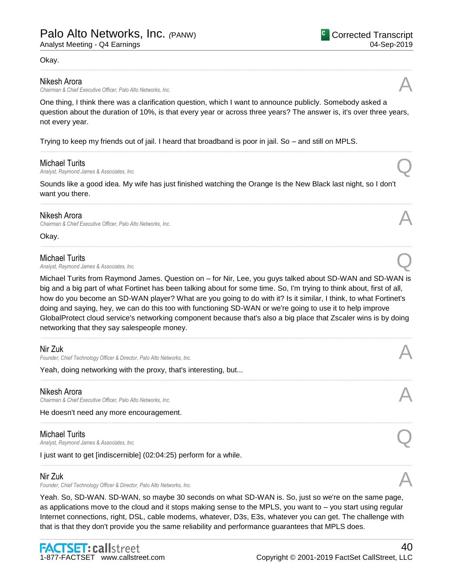### Okay.

### Nikesh Arora

*Chairman & Chief Executive Officer, Palo Alto Networks, Inc.* A

One thing, I think there was a clarification question, which I want to announce publicly. Somebody asked a question about the duration of 10%, is that every year or across three years? The answer is, it's over three years, not every year.

......................................................................................................................................................................................................................................................

......................................................................................................................................................................................................................................................

......................................................................................................................................................................................................................................................

......................................................................................................................................................................................................................................................

Trying to keep my friends out of jail. I heard that broadband is poor in jail. So – and still on MPLS.

### Michael Turits

*Analyst, Raymond James & Associates, Inc.* Q

Sounds like a good idea. My wife has just finished watching the Orange Is the New Black last night, so I don't want you there.

### Nikesh Arora

*Chairman & Chief Executive Officer, Palo Alto Networks, Inc.* A

Okay.

### Michael Turits

*Analyst, Raymond James & Associates, Inc.* Q

Michael Turits from Raymond James. Question on – for Nir, Lee, you guys talked about SD-WAN and SD-WAN is big and a big part of what Fortinet has been talking about for some time. So, I'm trying to think about, first of all, how do you become an SD-WAN player? What are you going to do with it? Is it similar, I think, to what Fortinet's doing and saying, hey, we can do this too with functioning SD-WAN or we're going to use it to help improve GlobalProtect cloud service's networking component because that's also a big place that Zscaler wins is by doing networking that they say salespeople money.

......................................................................................................................................................................................................................................................

......................................................................................................................................................................................................................................................

......................................................................................................................................................................................................................................................

......................................................................................................................................................................................................................................................

### Nir Zuk

Founder, Chief Technology Officer & Director, Palo Alto Networks, Inc.

Yeah, doing networking with the proxy, that's interesting, but...

### Nikesh Arora

**Chairman & Chief Executive Officer, Palo Alto Networks, Inc.** 

He doesn't need any more encouragement.

### Michael Turits

*Analyst, Raymond James & Associates, Inc.* Q

I just want to get [indiscernible] (02:04:25) perform for a while.

### Nir Zuk

Founder, Chief Technology Officer & Director, Palo Alto Networks, Inc.

Yeah. So, SD-WAN. SD-WAN, so maybe 30 seconds on what SD-WAN is. So, just so we're on the same page, as applications move to the cloud and it stops making sense to the MPLS, you want to – you start using regular Internet connections, right, DSL, cable modems, whatever, D3s, E3s, whatever you can get. The challenge with that is that they don't provide you the same reliability and performance guarantees that MPLS does.



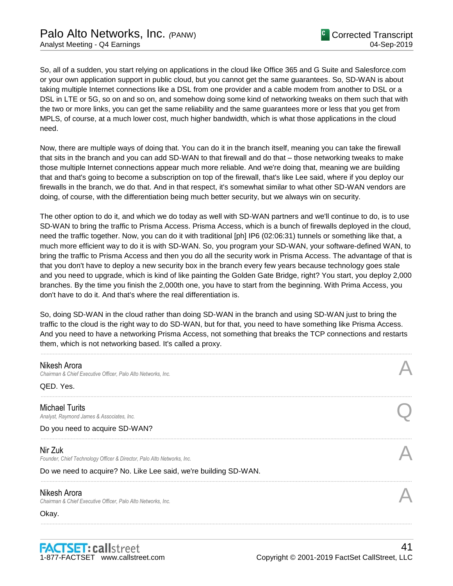So, all of a sudden, you start relying on applications in the cloud like Office 365 and G Suite and Salesforce.com or your own application support in public cloud, but you cannot get the same guarantees. So, SD-WAN is about taking multiple Internet connections like a DSL from one provider and a cable modem from another to DSL or a DSL in LTE or 5G, so on and so on, and somehow doing some kind of networking tweaks on them such that with the two or more links, you can get the same reliability and the same guarantees more or less that you get from MPLS, of course, at a much lower cost, much higher bandwidth, which is what those applications in the cloud need.

Now, there are multiple ways of doing that. You can do it in the branch itself, meaning you can take the firewall that sits in the branch and you can add SD-WAN to that firewall and do that – those networking tweaks to make those multiple Internet connections appear much more reliable. And we're doing that, meaning we are building that and that's going to become a subscription on top of the firewall, that's like Lee said, where if you deploy our firewalls in the branch, we do that. And in that respect, it's somewhat similar to what other SD-WAN vendors are doing, of course, with the differentiation being much better security, but we always win on security.

The other option to do it, and which we do today as well with SD-WAN partners and we'll continue to do, is to use SD-WAN to bring the traffic to Prisma Access. Prisma Access, which is a bunch of firewalls deployed in the cloud, need the traffic together. Now, you can do it with traditional [ph] IP6 (02:06:31) tunnels or something like that, a much more efficient way to do it is with SD-WAN. So, you program your SD-WAN, your software-defined WAN, to bring the traffic to Prisma Access and then you do all the security work in Prisma Access. The advantage of that is that you don't have to deploy a new security box in the branch every few years because technology goes stale and you need to upgrade, which is kind of like painting the Golden Gate Bridge, right? You start, you deploy 2,000 branches. By the time you finish the 2,000th one, you have to start from the beginning. With Prima Access, you don't have to do it. And that's where the real differentiation is.

So, doing SD-WAN in the cloud rather than doing SD-WAN in the branch and using SD-WAN just to bring the traffic to the cloud is the right way to do SD-WAN, but for that, you need to have something like Prisma Access. And you need to have a networking Prisma Access, not something that breaks the TCP connections and restarts them, which is not networking based. It's called a proxy.

| Nikesh Arora<br>Chairman & Chief Executive Officer, Palo Alto Networks, Inc.      |  |
|-----------------------------------------------------------------------------------|--|
| QED. Yes.                                                                         |  |
| <b>Michael Turits</b><br>Analyst, Raymond James & Associates, Inc.                |  |
| Do you need to acquire SD-WAN?                                                    |  |
| Nir Zuk<br>Founder, Chief Technology Officer & Director, Palo Alto Networks, Inc. |  |
| Do we need to acquire? No. Like Lee said, we're building SD-WAN.                  |  |
| Nikesh Arora<br>Chairman & Chief Executive Officer, Palo Alto Networks, Inc.      |  |
| Okay.                                                                             |  |
|                                                                                   |  |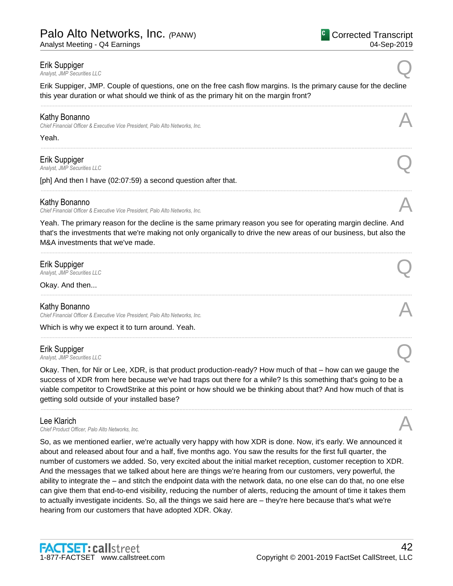### Erik Suppiger

*Analyst, JMP Securities LLC* Q

Erik Suppiger, JMP. Couple of questions, one on the free cash flow margins. Is the primary cause for the decline this year duration or what should we think of as the primary hit on the margin front? ......................................................................................................................................................................................................................................................

......................................................................................................................................................................................................................................................

......................................................................................................................................................................................................................................................

## Kathy Bonanno

*Chief Financial Officer & Executive Vice President, Palo Alto Networks, Inc.* A

Yeah.

# Erik Suppiger *Analyst, JMP Securities LLC* Q

[ph] And then I have (02:07:59) a second question after that.

## Kathy Bonanno

*Chief Financial Officer & Executive Vice President, Palo Alto Networks, Inc.* A

Yeah. The primary reason for the decline is the same primary reason you see for operating margin decline. And that's the investments that we're making not only organically to drive the new areas of our business, but also the M&A investments that we've made.

......................................................................................................................................................................................................................................................

......................................................................................................................................................................................................................................................

......................................................................................................................................................................................................................................................

**Erik Suppiger**<br>Analyst, JMP Securities LLC *Analyst, JMP Securities LLC* Q

Okay. And then...

### Kathy Bonanno

*Chief Financial Officer & Executive Vice President, Palo Alto Networks, Inc.* A

Which is why we expect it to turn around. Yeah.

# Erik Suppiger

*Analyst, JMP Securities LLC* Q

Okay. Then, for Nir or Lee, XDR, is that product production-ready? How much of that – how can we gauge the success of XDR from here because we've had traps out there for a while? Is this something that's going to be a viable competitor to CrowdStrike at this point or how should we be thinking about that? And how much of that is getting sold outside of your installed base?

......................................................................................................................................................................................................................................................

# Lee Klarich

Lee Klarich<br>Chief Product Officer, Palo Alto Networks, Inc.

So, as we mentioned earlier, we're actually very happy with how XDR is done. Now, it's early. We announced it about and released about four and a half, five months ago. You saw the results for the first full quarter, the number of customers we added. So, very excited about the initial market reception, customer reception to XDR. And the messages that we talked about here are things we're hearing from our customers, very powerful, the ability to integrate the – and stitch the endpoint data with the network data, no one else can do that, no one else can give them that end-to-end visibility, reducing the number of alerts, reducing the amount of time it takes them to actually investigate incidents. So, all the things we said here are – they're here because that's what we're hearing from our customers that have adopted XDR. Okay.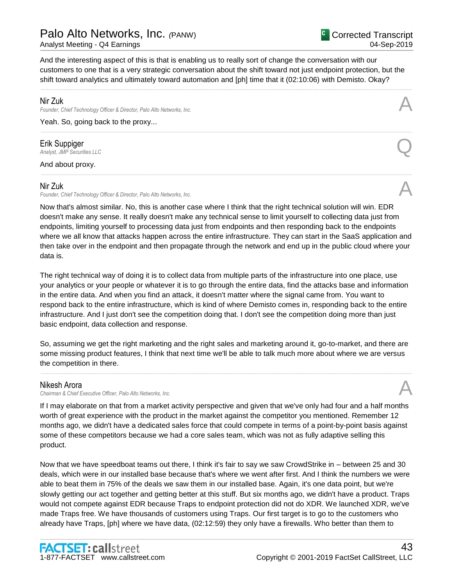# Palo Alto Networks, Inc. *(*PANW)

Analyst Meeting - Q4 Earnings

And the interesting aspect of this is that is enabling us to really sort of change the conversation with our customers to one that is a very strategic conversation about the shift toward not just endpoint protection, but the shift toward analytics and ultimately toward automation and [ph] time that it (02:10:06) with Demisto. Okay?

......................................................................................................................................................................................................................................................

......................................................................................................................................................................................................................................................

## Nir Zuk

*Founder, Chief Technology Officer & Director, Palo Alto Networks, Inc.* A

Yeah. So, going back to the proxy...

Erik Suppiger *Analyst, JMP Securities LLC* Q

And about proxy. ......................................................................................................................................................................................................................................................

## Nir Zuk

Founder, Chief Technology Officer & Director, Palo Alto Networks, Inc.

Now that's almost similar. No, this is another case where I think that the right technical solution will win. EDR doesn't make any sense. It really doesn't make any technical sense to limit yourself to collecting data just from endpoints, limiting yourself to processing data just from endpoints and then responding back to the endpoints where we all know that attacks happen across the entire infrastructure. They can start in the SaaS application and then take over in the endpoint and then propagate through the network and end up in the public cloud where your data is.

The right technical way of doing it is to collect data from multiple parts of the infrastructure into one place, use your analytics or your people or whatever it is to go through the entire data, find the attacks base and information in the entire data. And when you find an attack, it doesn't matter where the signal came from. You want to respond back to the entire infrastructure, which is kind of where Demisto comes in, responding back to the entire infrastructure. And I just don't see the competition doing that. I don't see the competition doing more than just basic endpoint, data collection and response.

So, assuming we get the right marketing and the right sales and marketing around it, go-to-market, and there are some missing product features, I think that next time we'll be able to talk much more about where we are versus the competition in there.

......................................................................................................................................................................................................................................................

# Nikesh Arora

*Chairman & Chief Executive Officer, Palo Alto Networks, Inc.* A

If I may elaborate on that from a market activity perspective and given that we've only had four and a half months worth of great experience with the product in the market against the competitor you mentioned. Remember 12 months ago, we didn't have a dedicated sales force that could compete in terms of a point-by-point basis against some of these competitors because we had a core sales team, which was not as fully adaptive selling this product.

Now that we have speedboat teams out there, I think it's fair to say we saw CrowdStrike in – between 25 and 30 deals, which were in our installed base because that's where we went after first. And I think the numbers we were able to beat them in 75% of the deals we saw them in our installed base. Again, it's one data point, but we're slowly getting our act together and getting better at this stuff. But six months ago, we didn't have a product. Traps would not compete against EDR because Traps to endpoint protection did not do XDR. We launched XDR, we've made Traps free. We have thousands of customers using Traps. Our first target is to go to the customers who already have Traps, [ph] where we have data, (02:12:59) they only have a firewalls. Who better than them to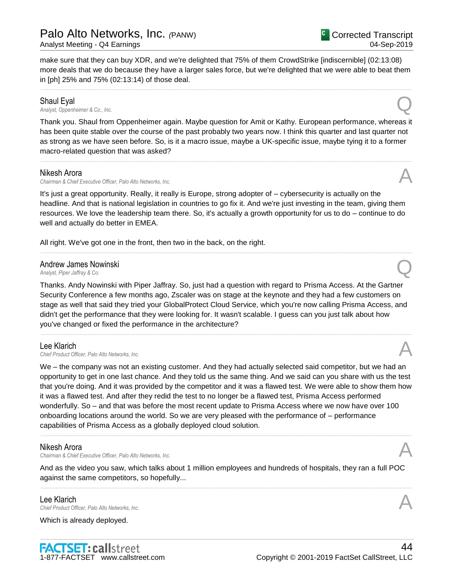make sure that they can buy XDR, and we're delighted that 75% of them CrowdStrike [indiscernible] (02:13:08) more deals that we do because they have a larger sales force, but we're delighted that we were able to beat them in [ph] 25% and 75% (02:13:14) of those deal.

......................................................................................................................................................................................................................................................

## Shaul Eyal

*Analyst, Oppenheimer & Co., Inc.* Q

Thank you. Shaul from Oppenheimer again. Maybe question for Amit or Kathy. European performance, whereas it has been quite stable over the course of the past probably two years now. I think this quarter and last quarter not as strong as we have seen before. So, is it a macro issue, maybe a UK-specific issue, maybe tying it to a former macro-related question that was asked?

......................................................................................................................................................................................................................................................

### Nikesh Arora

*Chairman & Chief Executive Officer, Palo Alto Networks, Inc.* A

It's just a great opportunity. Really, it really is Europe, strong adopter of – cybersecurity is actually on the headline. And that is national legislation in countries to go fix it. And we're just investing in the team, giving them resources. We love the leadership team there. So, it's actually a growth opportunity for us to do – continue to do well and actually do better in EMEA.

......................................................................................................................................................................................................................................................

All right. We've got one in the front, then two in the back, on the right.

# Andrew James Nowinski *Analyst, Piper Jaffray & Co.* Q

Thanks. Andy Nowinski with Piper Jaffray. So, just had a question with regard to Prisma Access. At the Gartner Security Conference a few months ago, Zscaler was on stage at the keynote and they had a few customers on stage as well that said they tried your GlobalProtect Cloud Service, which you're now calling Prisma Access, and didn't get the performance that they were looking for. It wasn't scalable. I guess can you just talk about how you've changed or fixed the performance in the architecture?

......................................................................................................................................................................................................................................................

# Lee Klarich Lee Klarich<br>Chief Product Officer, Palo Alto Networks, Inc.

We – the company was not an existing customer. And they had actually selected said competitor, but we had an opportunity to get in one last chance. And they told us the same thing. And we said can you share with us the test that you're doing. And it was provided by the competitor and it was a flawed test. We were able to show them how it was a flawed test. And after they redid the test to no longer be a flawed test, Prisma Access performed wonderfully. So – and that was before the most recent update to Prisma Access where we now have over 100 onboarding locations around the world. So we are very pleased with the performance of – performance capabilities of Prisma Access as a globally deployed cloud solution.

......................................................................................................................................................................................................................................................

# Nikesh Arora

*Chairman & Chief Executive Officer, Palo Alto Networks, Inc.* A

And as the video you saw, which talks about 1 million employees and hundreds of hospitals, they ran a full POC against the same competitors, so hopefully...

......................................................................................................................................................................................................................................................

Lee Klarich<br>Chief Product Officer, Palo Alto Networks, Inc. Lee Klarich<br>Chief Product Officer, Palo Alto Networks, Inc.

Which is already deployed.





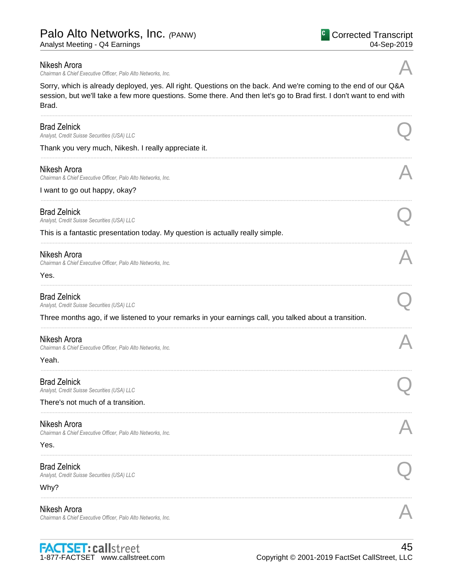Analyst Meeting - Q4 Earnings

### Nikesh Arora

*Chairman & Chief Executive Officer, Palo Alto Networks, Inc.* A

Sorry, which is already deployed, yes. All right. Questions on the back. And we're coming to the end of our Q&A session, but we'll take a few more questions. Some there. And then let's go to Brad first. I don't want to end with Brad.

......................................................................................................................................................................................................................................................

| <b>Brad Zelnick</b><br>Analyst, Credit Suisse Securities (USA) LLC                                                                                                           |  |
|------------------------------------------------------------------------------------------------------------------------------------------------------------------------------|--|
| Thank you very much, Nikesh. I really appreciate it.                                                                                                                         |  |
| Nikesh Arora<br>Chairman & Chief Executive Officer, Palo Alto Networks, Inc.<br>I want to go out happy, okay?                                                                |  |
| <b>Brad Zelnick</b><br>Analyst, Credit Suisse Securities (USA) LLC<br>This is a fantastic presentation today. My question is actually really simple.                         |  |
| Nikesh Arora<br>Chairman & Chief Executive Officer, Palo Alto Networks, Inc.<br>Yes.                                                                                         |  |
| <b>Brad Zelnick</b><br>Analyst, Credit Suisse Securities (USA) LLC<br>Three months ago, if we listened to your remarks in your earnings call, you talked about a transition. |  |
| Nikesh Arora<br>Chairman & Chief Executive Officer, Palo Alto Networks, Inc.<br>Yeah.                                                                                        |  |
| <b>Brad Zelnick</b><br>Analyst, Credit Suisse Securities (USA) LLC<br>There's not much of a transition.                                                                      |  |
| Nikesh Arora<br>Chairman & Chief Executive Officer, Palo Alto Networks, Inc.<br>Yes.                                                                                         |  |
| <b>Brad Zelnick</b><br>Analyst, Credit Suisse Securities (USA) LLC<br>Why?                                                                                                   |  |
| Nikesh Arora<br>Chairman & Chief Executive Officer, Palo Alto Networks, Inc.                                                                                                 |  |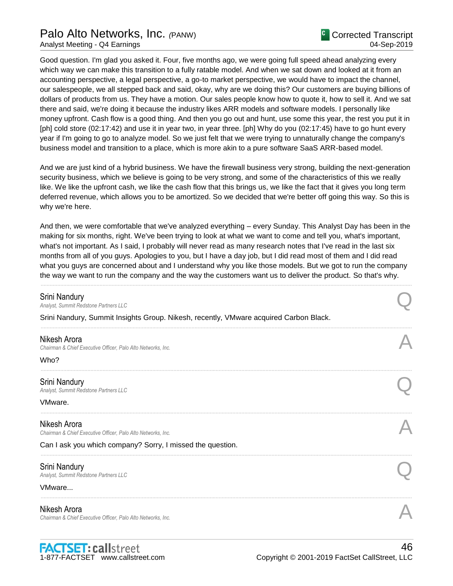# Palo Alto Networks, Inc. *(*PANW)

Good question. I'm glad you asked it. Four, five months ago, we were going full speed ahead analyzing every which way we can make this transition to a fully ratable model. And when we sat down and looked at it from an accounting perspective, a legal perspective, a go-to market perspective, we would have to impact the channel, our salespeople, we all stepped back and said, okay, why are we doing this? Our customers are buying billions of dollars of products from us. They have a motion. Our sales people know how to quote it, how to sell it. And we sat there and said, we're doing it because the industry likes ARR models and software models. I personally like money upfront. Cash flow is a good thing. And then you go out and hunt, use some this year, the rest you put it in [ph] cold store (02:17:42) and use it in year two, in year three. [ph] Why do you (02:17:45) have to go hunt every year if I'm going to go to analyze model. So we just felt that we were trying to unnaturally change the company's business model and transition to a place, which is more akin to a pure software SaaS ARR-based model.

And we are just kind of a hybrid business. We have the firewall business very strong, building the next-generation security business, which we believe is going to be very strong, and some of the characteristics of this we really like. We like the upfront cash, we like the cash flow that this brings us, we like the fact that it gives you long term deferred revenue, which allows you to be amortized. So we decided that we're better off going this way. So this is why we're here.

And then, we were comfortable that we've analyzed everything – every Sunday. This Analyst Day has been in the making for six months, right. We've been trying to look at what we want to come and tell you, what's important, what's not important. As I said, I probably will never read as many research notes that I've read in the last six months from all of you guys. Apologies to you, but I have a day job, but I did read most of them and I did read what you guys are concerned about and I understand why you like those models. But we got to run the company the way we want to run the company and the way the customers want us to deliver the product. So that's why.

| Srini Nandury<br>Analyst, Summit Redstone Partners LLC                                |  |
|---------------------------------------------------------------------------------------|--|
| Srini Nandury, Summit Insights Group. Nikesh, recently, VMware acquired Carbon Black. |  |
| Nikesh Arora<br>Chairman & Chief Executive Officer, Palo Alto Networks, Inc.<br>Who?  |  |
| Srini Nandury<br>Analyst, Summit Redstone Partners LLC                                |  |
| VMware.                                                                               |  |
| Nikesh Arora<br>Chairman & Chief Executive Officer, Palo Alto Networks, Inc.          |  |
| Can I ask you which company? Sorry, I missed the question.                            |  |
| Srini Nandury<br>Analyst, Summit Redstone Partners LLC                                |  |
| VMware                                                                                |  |
| Nikesh Arora<br>Chairman & Chief Executive Officer, Palo Alto Networks, Inc.          |  |
|                                                                                       |  |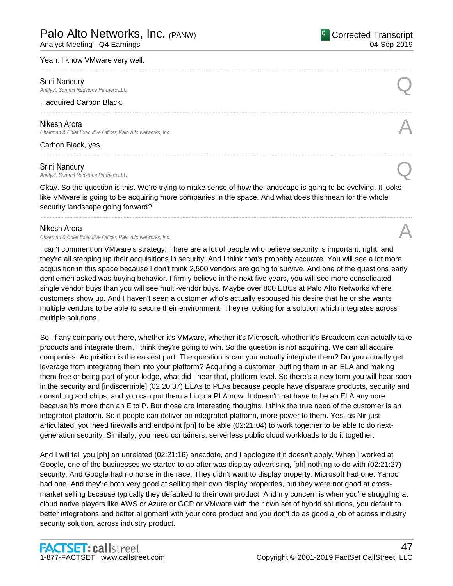Analyst Meeting - Q4 Earnings

### Yeah. I know VMware very well.

**Srini Nandury**<br>Analyst, Summit Redstone Partners LLC *Analyst, Summit Redstone Partners LLC*<br>Analyst, Summit Redstone Partners LLC

...acquired Carbon Black.

### Nikesh Arora

*Chairman & Chief Executive Officer, Palo Alto Networks, Inc.* A

Carbon Black, yes.

**Srini Nandury**<br>Analyst, Summit Redstone Partners LLC *Analyst, Summit Redstone Partners LLC* Q

Okay. So the question is this. We're trying to make sense of how the landscape is going to be evolving. It looks like VMware is going to be acquiring more companies in the space. And what does this mean for the whole security landscape going forward?

......................................................................................................................................................................................................................................................

......................................................................................................................................................................................................................................................

......................................................................................................................................................................................................................................................

......................................................................................................................................................................................................................................................

### Nikesh Arora

*Chairman & Chief Executive Officer, Palo Alto Networks, Inc.* A

I can't comment on VMware's strategy. There are a lot of people who believe security is important, right, and they're all stepping up their acquisitions in security. And I think that's probably accurate. You will see a lot more acquisition in this space because I don't think 2,500 vendors are going to survive. And one of the questions early gentlemen asked was buying behavior. I firmly believe in the next five years, you will see more consolidated single vendor buys than you will see multi-vendor buys. Maybe over 800 EBCs at Palo Alto Networks where customers show up. And I haven't seen a customer who's actually espoused his desire that he or she wants multiple vendors to be able to secure their environment. They're looking for a solution which integrates across multiple solutions.

So, if any company out there, whether it's VMware, whether it's Microsoft, whether it's Broadcom can actually take products and integrate them, I think they're going to win. So the question is not acquiring. We can all acquire companies. Acquisition is the easiest part. The question is can you actually integrate them? Do you actually get leverage from integrating them into your platform? Acquiring a customer, putting them in an ELA and making them free or being part of your lodge, what did I hear that, platform level. So there's a new term you will hear soon in the security and [indiscernible] (02:20:37) ELAs to PLAs because people have disparate products, security and consulting and chips, and you can put them all into a PLA now. It doesn't that have to be an ELA anymore because it's more than an E to P. But those are interesting thoughts. I think the true need of the customer is an integrated platform. So if people can deliver an integrated platform, more power to them. Yes, as Nir just articulated, you need firewalls and endpoint [ph] to be able (02:21:04) to work together to be able to do nextgeneration security. Similarly, you need containers, serverless public cloud workloads to do it together.

And I will tell you [ph] an unrelated (02:21:16) anecdote, and I apologize if it doesn't apply. When I worked at Google, one of the businesses we started to go after was display advertising, [ph] nothing to do with (02:21:27) security. And Google had no horse in the race. They didn't want to display property. Microsoft had one. Yahoo had one. And they're both very good at selling their own display properties, but they were not good at crossmarket selling because typically they defaulted to their own product. And my concern is when you're struggling at cloud native players like AWS or Azure or GCP or VMware with their own set of hybrid solutions, you default to better integrations and better alignment with your core product and you don't do as good a job of across industry security solution, across industry product.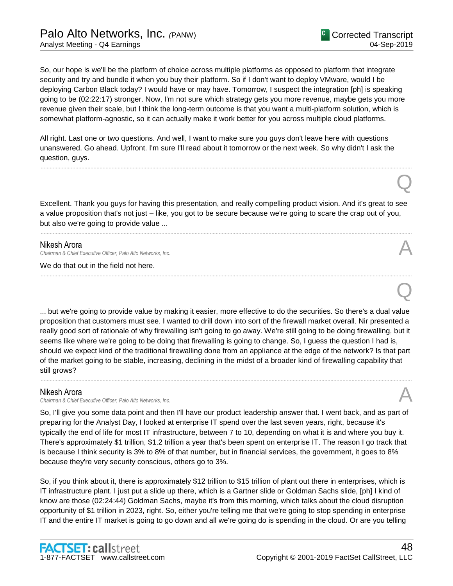Q

Q

So, our hope is we'll be the platform of choice across multiple platforms as opposed to platform that integrate security and try and bundle it when you buy their platform. So if I don't want to deploy VMware, would I be deploying Carbon Black today? I would have or may have. Tomorrow, I suspect the integration [ph] is speaking going to be (02:22:17) stronger. Now, I'm not sure which strategy gets you more revenue, maybe gets you more revenue given their scale, but I think the long-term outcome is that you want a multi-platform solution, which is somewhat platform-agnostic, so it can actually make it work better for you across multiple cloud platforms.

All right. Last one or two questions. And well, I want to make sure you guys don't leave here with questions unanswered. Go ahead. Upfront. I'm sure I'll read about it tomorrow or the next week. So why didn't I ask the question, guys.

Excellent. Thank you guys for having this presentation, and really compelling product vision. And it's great to see a value proposition that's not just – like, you got to be secure because we're going to scare the crap out of you, but also we're going to provide value ...

......................................................................................................................................................................................................................................................

......................................................................................................................................................................................................................................................

......................................................................................................................................................................................................................................................

### Nikesh Arora

*Chairman & Chief Executive Officer, Palo Alto Networks, Inc.* A

We do that out in the field not here.

... but we're going to provide value by making it easier, more effective to do the securities. So there's a dual value proposition that customers must see. I wanted to drill down into sort of the firewall market overall. Nir presented a really good sort of rationale of why firewalling isn't going to go away. We're still going to be doing firewalling, but it seems like where we're going to be doing that firewalling is going to change. So, I guess the question I had is, should we expect kind of the traditional firewalling done from an appliance at the edge of the network? Is that part of the market going to be stable, increasing, declining in the midst of a broader kind of firewalling capability that still grows?

......................................................................................................................................................................................................................................................

### Nikesh Arora

*Chairman & Chief Executive Officer, Palo Alto Networks, Inc.* A

So, I'll give you some data point and then I'll have our product leadership answer that. I went back, and as part of preparing for the Analyst Day, I looked at enterprise IT spend over the last seven years, right, because it's typically the end of life for most IT infrastructure, between 7 to 10, depending on what it is and where you buy it. There's approximately \$1 trillion, \$1.2 trillion a year that's been spent on enterprise IT. The reason I go track that is because I think security is 3% to 8% of that number, but in financial services, the government, it goes to 8% because they're very security conscious, others go to 3%.

So, if you think about it, there is approximately \$12 trillion to \$15 trillion of plant out there in enterprises, which is IT infrastructure plant. I just put a slide up there, which is a Gartner slide or Goldman Sachs slide, [ph] I kind of know are those (02:24:44) Goldman Sachs, maybe it's from this morning, which talks about the cloud disruption opportunity of \$1 trillion in 2023, right. So, either you're telling me that we're going to stop spending in enterprise IT and the entire IT market is going to go down and all we're going do is spending in the cloud. Or are you telling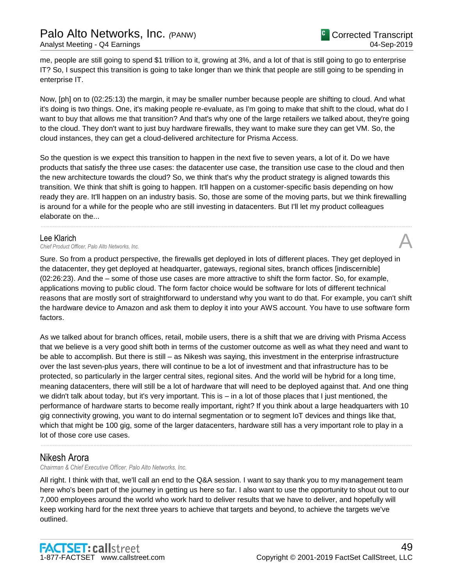me, people are still going to spend \$1 trillion to it, growing at 3%, and a lot of that is still going to go to enterprise IT? So, I suspect this transition is going to take longer than we think that people are still going to be spending in enterprise IT.

Now, [ph] on to (02:25:13) the margin, it may be smaller number because people are shifting to cloud. And what it's doing is two things. One, it's making people re-evaluate, as I'm going to make that shift to the cloud, what do I want to buy that allows me that transition? And that's why one of the large retailers we talked about, they're going to the cloud. They don't want to just buy hardware firewalls, they want to make sure they can get VM. So, the cloud instances, they can get a cloud-delivered architecture for Prisma Access.

So the question is we expect this transition to happen in the next five to seven years, a lot of it. Do we have products that satisfy the three use cases: the datacenter use case, the transition use case to the cloud and then the new architecture towards the cloud? So, we think that's why the product strategy is aligned towards this transition. We think that shift is going to happen. It'll happen on a customer-specific basis depending on how ready they are. It'll happen on an industry basis. So, those are some of the moving parts, but we think firewalling is around for a while for the people who are still investing in datacenters. But I'll let my product colleagues elaborate on the...

......................................................................................................................................................................................................................................................

### Lee Klarich

Lee Klarich<br>Chief Product Officer, Palo Alto Networks, Inc.

Sure. So from a product perspective, the firewalls get deployed in lots of different places. They get deployed in the datacenter, they get deployed at headquarter, gateways, regional sites, branch offices [indiscernible] (02:26:23). And the – some of those use cases are more attractive to shift the form factor. So, for example, applications moving to public cloud. The form factor choice would be software for lots of different technical reasons that are mostly sort of straightforward to understand why you want to do that. For example, you can't shift the hardware device to Amazon and ask them to deploy it into your AWS account. You have to use software form factors.

As we talked about for branch offices, retail, mobile users, there is a shift that we are driving with Prisma Access that we believe is a very good shift both in terms of the customer outcome as well as what they need and want to be able to accomplish. But there is still – as Nikesh was saying, this investment in the enterprise infrastructure over the last seven-plus years, there will continue to be a lot of investment and that infrastructure has to be protected, so particularly in the larger central sites, regional sites. And the world will be hybrid for a long time, meaning datacenters, there will still be a lot of hardware that will need to be deployed against that. And one thing we didn't talk about today, but it's very important. This is – in a lot of those places that I just mentioned, the performance of hardware starts to become really important, right? If you think about a large headquarters with 10 gig connectivity growing, you want to do internal segmentation or to segment IoT devices and things like that, which that might be 100 gig, some of the larger datacenters, hardware still has a very important role to play in a lot of those core use cases.

# Nikesh Arora

*Chairman & Chief Executive Officer, Palo Alto Networks, Inc.*

All right. I think with that, we'll call an end to the Q&A session. I want to say thank you to my management team here who's been part of the journey in getting us here so far. I also want to use the opportunity to shout out to our 7,000 employees around the world who work hard to deliver results that we have to deliver, and hopefully will keep working hard for the next three years to achieve that targets and beyond, to achieve the targets we've outlined.

......................................................................................................................................................................................................................................................